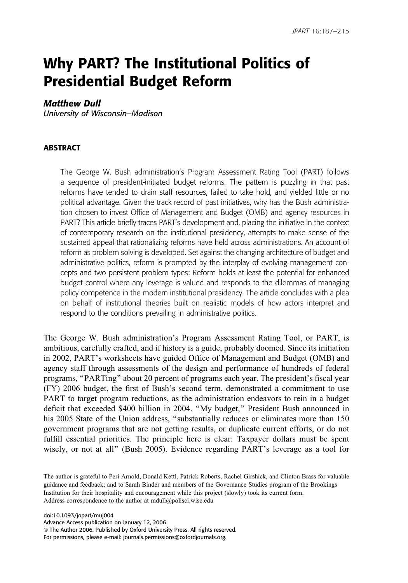# Why PART? The Institutional Politics of Presidential Budget Reform

## Matthew Dull

University of Wisconsin–Madison

### ABSTRACT

The George W. Bush administration's Program Assessment Rating Tool (PART) follows a sequence of president-initiated budget reforms. The pattern is puzzling in that past reforms have tended to drain staff resources, failed to take hold, and yielded little or no political advantage. Given the track record of past initiatives, why has the Bush administration chosen to invest Office of Management and Budget (OMB) and agency resources in PART? This article briefly traces PART's development and, placing the initiative in the context of contemporary research on the institutional presidency, attempts to make sense of the sustained appeal that rationalizing reforms have held across administrations. An account of reform as problem solving is developed. Set against the changing architecture of budget and administrative politics, reform is prompted by the interplay of evolving management concepts and two persistent problem types: Reform holds at least the potential for enhanced budget control where any leverage is valued and responds to the dilemmas of managing policy competence in the modern institutional presidency. The article concludes with a plea on behalf of institutional theories built on realistic models of how actors interpret and respond to the conditions prevailing in administrative politics.

The George W. Bush administration's Program Assessment Rating Tool, or PART, is ambitious, carefully crafted, and if history is a guide, probably doomed. Since its initiation in 2002, PART's worksheets have guided Office of Management and Budget (OMB) and agency staff through assessments of the design and performance of hundreds of federal programs, ''PARTing'' about 20 percent of programs each year. The president's fiscal year (FY) 2006 budget, the first of Bush's second term, demonstrated a commitment to use PART to target program reductions, as the administration endeavors to rein in a budget deficit that exceeded \$400 billion in 2004. ''My budget,'' President Bush announced in his 2005 State of the Union address, "substantially reduces or eliminates more than 150 government programs that are not getting results, or duplicate current efforts, or do not fulfill essential priorities. The principle here is clear: Taxpayer dollars must be spent wisely, or not at all'' (Bush 2005). Evidence regarding PART's leverage as a tool for

doi:10.1093/jopart/muj004

Advance Access publication on January 12, 2006

*ª* The Author 2006. Published by Oxford University Press. All rights reserved. For permissions, please e-mail: journals.permissions@oxfordjournals.org.

The author is grateful to Peri Arnold, Donald Kettl, Patrick Roberts, Rachel Girshick, and Clinton Brass for valuable guidance and feedback; and to Sarah Binder and members of the Governance Studies program of the Brookings Institution for their hospitality and encouragement while this project (slowly) took its current form. Address correspondence to the author at mdull@polisci.wisc.edu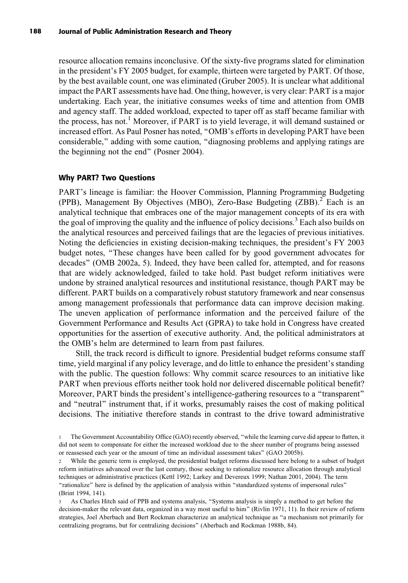resource allocation remains inconclusive. Of the sixty-five programs slated for elimination in the president's FY 2005 budget, for example, thirteen were targeted by PART. Of those, by the best available count, one was eliminated (Gruber 2005). It is unclear what additional impact the PART assessments have had. One thing, however, is very clear: PART is a major undertaking. Each year, the initiative consumes weeks of time and attention from OMB and agency staff. The added workload, expected to taper off as staff became familiar with the process, has not.<sup>1</sup> Moreover, if PART is to yield leverage, it will demand sustained or increased effort. As Paul Posner has noted, ''OMB's efforts in developing PART have been considerable,'' adding with some caution, ''diagnosing problems and applying ratings are the beginning not the end'' (Posner 2004).

## Why PART? Two Questions

PART's lineage is familiar: the Hoover Commission, Planning Programming Budgeting (PPB), Management By Objectives (MBO), Zero-Base Budgeting (ZBB).<sup>2</sup> Each is an analytical technique that embraces one of the major management concepts of its era with the goal of improving the quality and the influence of policy decisions.<sup>3</sup> Each also builds on the analytical resources and perceived failings that are the legacies of previous initiatives. Noting the deficiencies in existing decision-making techniques, the president's FY 2003 budget notes, ''These changes have been called for by good government advocates for decades'' (OMB 2002a, 5). Indeed, they have been called for, attempted, and for reasons that are widely acknowledged, failed to take hold. Past budget reform initiatives were undone by strained analytical resources and institutional resistance, though PART may be different. PART builds on a comparatively robust statutory framework and near consensus among management professionals that performance data can improve decision making. The uneven application of performance information and the perceived failure of the Government Performance and Results Act (GPRA) to take hold in Congress have created opportunities for the assertion of executive authority. And, the political administrators at the OMB's helm are determined to learn from past failures.

Still, the track record is difficult to ignore. Presidential budget reforms consume staff time, yield marginal if any policy leverage, and do little to enhance the president's standing with the public. The question follows: Why commit scarce resources to an initiative like PART when previous efforts neither took hold nor delivered discernable political benefit? Moreover, PART binds the president's intelligence-gathering resources to a ''transparent'' and "neutral" instrument that, if it works, presumably raises the cost of making political decisions. The initiative therefore stands in contrast to the drive toward administrative

3 As Charles Hitch said of PPB and systems analysis, ''Systems analysis is simply a method to get before the decision-maker the relevant data, organized in a way most useful to him'' (Rivlin 1971, 11). In their review of reform strategies, Joel Aberbach and Bert Rockman characterize an analytical technique as ''a mechanism not primarily for centralizing programs, but for centralizing decisions'' (Aberbach and Rockman 1988b, 84).

<sup>1</sup> The Government Accountability Office (GAO) recently observed, ''while the learning curve did appear to flatten, it did not seem to compensate for either the increased workload due to the sheer number of programs being assessed or reassessed each year or the amount of time an individual assessment takes'' (GAO 2005b).

<sup>2</sup> While the generic term is employed, the presidential budget reforms discussed here belong to a subset of budget reform initiatives advanced over the last century, those seeking to rationalize resource allocation through analytical techniques or administrative practices (Kettl 1992; Larkey and Devereux 1999; Nathan 2001, 2004). The term ''rationalize'' here is defined by the application of analysis within ''standardized systems of impersonal rules'' (Brint 1994, 141).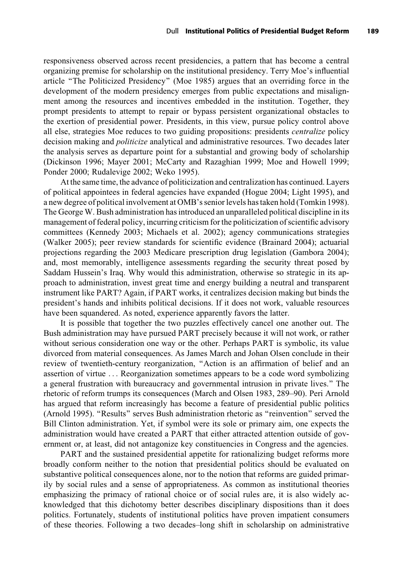responsiveness observed across recent presidencies, a pattern that has become a central organizing premise for scholarship on the institutional presidency. Terry Moe's influential article ''The Politicized Presidency'' (Moe 1985) argues that an overriding force in the development of the modern presidency emerges from public expectations and misalignment among the resources and incentives embedded in the institution. Together, they prompt presidents to attempt to repair or bypass persistent organizational obstacles to the exertion of presidential power. Presidents, in this view, pursue policy control above all else, strategies Moe reduces to two guiding propositions: presidents *centralize* policy decision making and *politicize* analytical and administrative resources. Two decades later the analysis serves as departure point for a substantial and growing body of scholarship (Dickinson 1996; Mayer 2001; McCarty and Razaghian 1999; Moe and Howell 1999; Ponder 2000; Rudalevige 2002; Weko 1995).

At the same time, the advance of politicization and centralization has continued. Layers of political appointees in federal agencies have expanded (Hogue 2004; Light 1995), and a new degree of political involvement at OMB's senior levels has taken hold (Tomkin 1998). The George W. Bush administration has introduced an unparalleled political discipline in its management of federal policy, incurring criticism for the politicization of scientific advisory committees (Kennedy 2003; Michaels et al. 2002); agency communications strategies (Walker 2005); peer review standards for scientific evidence (Brainard 2004); actuarial projections regarding the 2003 Medicare prescription drug legislation (Gambora 2004); and, most memorably, intelligence assessments regarding the security threat posed by Saddam Hussein's Iraq. Why would this administration, otherwise so strategic in its approach to administration, invest great time and energy building a neutral and transparent instrument like PART? Again, if PART works, it centralizes decision making but binds the president's hands and inhibits political decisions. If it does not work, valuable resources have been squandered. As noted, experience apparently favors the latter.

It is possible that together the two puzzles effectively cancel one another out. The Bush administration may have pursued PART precisely because it will not work, or rather without serious consideration one way or the other. Perhaps PART is symbolic, its value divorced from material consequences. As James March and Johan Olsen conclude in their review of twentieth-century reorganization, ''Action is an affirmation of belief and an assertion of virtue ... Reorganization sometimes appears to be a code word symbolizing a general frustration with bureaucracy and governmental intrusion in private lives.'' The rhetoric of reform trumps its consequences (March and Olsen 1983, 289–90). Peri Arnold has argued that reform increasingly has become a feature of presidential public politics (Arnold 1995). ''Results'' serves Bush administration rhetoric as ''reinvention'' served the Bill Clinton administration. Yet, if symbol were its sole or primary aim, one expects the administration would have created a PART that either attracted attention outside of government or, at least, did not antagonize key constituencies in Congress and the agencies.

PART and the sustained presidential appetite for rationalizing budget reforms more broadly conform neither to the notion that presidential politics should be evaluated on substantive political consequences alone, nor to the notion that reforms are guided primarily by social rules and a sense of appropriateness. As common as institutional theories emphasizing the primacy of rational choice or of social rules are, it is also widely acknowledged that this dichotomy better describes disciplinary dispositions than it does politics. Fortunately, students of institutional politics have proven impatient consumers of these theories. Following a two decades–long shift in scholarship on administrative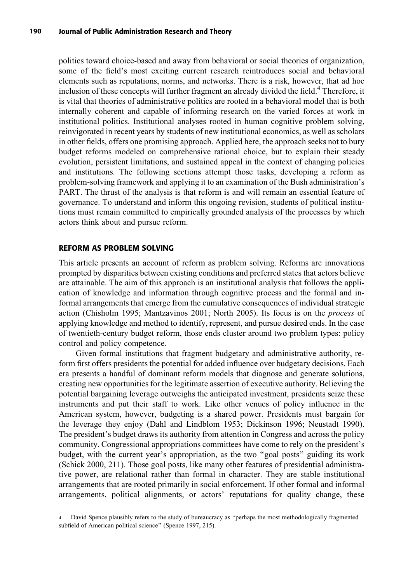politics toward choice-based and away from behavioral or social theories of organization, some of the field's most exciting current research reintroduces social and behavioral elements such as reputations, norms, and networks. There is a risk, however, that ad hoc inclusion of these concepts will further fragment an already divided the field.<sup>4</sup> Therefore, it is vital that theories of administrative politics are rooted in a behavioral model that is both internally coherent and capable of informing research on the varied forces at work in institutional politics. Institutional analyses rooted in human cognitive problem solving, reinvigorated in recent years by students of new institutional economics, as well as scholars in other fields, offers one promising approach. Applied here, the approach seeks not to bury budget reforms modeled on comprehensive rational choice, but to explain their steady evolution, persistent limitations, and sustained appeal in the context of changing policies and institutions. The following sections attempt those tasks, developing a reform as problem-solving framework and applying it to an examination of the Bush administration's PART. The thrust of the analysis is that reform is and will remain an essential feature of governance. To understand and inform this ongoing revision, students of political institutions must remain committed to empirically grounded analysis of the processes by which actors think about and pursue reform.

#### REFORM AS PROBLEM SOLVING

This article presents an account of reform as problem solving. Reforms are innovations prompted by disparities between existing conditions and preferred states that actors believe are attainable. The aim of this approach is an institutional analysis that follows the application of knowledge and information through cognitive process and the formal and informal arrangements that emerge from the cumulative consequences of individual strategic action (Chisholm 1995; Mantzavinos 2001; North 2005). Its focus is on the process of applying knowledge and method to identify, represent, and pursue desired ends. In the case of twentieth-century budget reform, those ends cluster around two problem types: policy control and policy competence.

Given formal institutions that fragment budgetary and administrative authority, reform first offers presidents the potential for added influence over budgetary decisions. Each era presents a handful of dominant reform models that diagnose and generate solutions, creating new opportunities for the legitimate assertion of executive authority. Believing the potential bargaining leverage outweighs the anticipated investment, presidents seize these instruments and put their staff to work. Like other venues of policy influence in the American system, however, budgeting is a shared power. Presidents must bargain for the leverage they enjoy (Dahl and Lindblom 1953; Dickinson 1996; Neustadt 1990). The president's budget draws its authority from attention in Congress and across the policy community. Congressional appropriations committees have come to rely on the president's budget, with the current year's appropriation, as the two ''goal posts'' guiding its work (Schick 2000, 211). Those goal posts, like many other features of presidential administrative power, are relational rather than formal in character. They are stable institutional arrangements that are rooted primarily in social enforcement. If other formal and informal arrangements, political alignments, or actors' reputations for quality change, these

<sup>4</sup> David Spence plausibly refers to the study of bureaucracy as ''perhaps the most methodologically fragmented subfield of American political science" (Spence 1997, 215).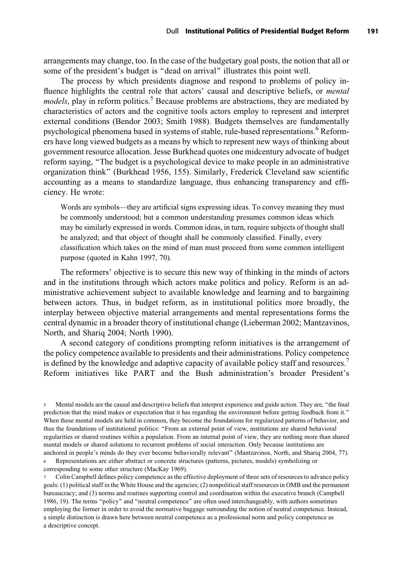arrangements may change, too. In the case of the budgetary goal posts, the notion that all or some of the president's budget is ''dead on arrival'' illustrates this point well.

The process by which presidents diagnose and respond to problems of policy influence highlights the central role that actors' causal and descriptive beliefs, or *mental*  $models$ , play in reform politics.<sup>5</sup> Because problems are abstractions, they are mediated by characteristics of actors and the cognitive tools actors employ to represent and interpret external conditions (Bendor 2003; Smith 1988). Budgets themselves are fundamentally psychological phenomena based in systems of stable, rule-based representations.<sup>6</sup> Reformers have long viewed budgets as a means by which to represent new ways of thinking about government resource allocation. Jesse Burkhead quotes one midcentury advocate of budget reform saying, ''The budget is a psychological device to make people in an administrative organization think'' (Burkhead 1956, 155). Similarly, Frederick Cleveland saw scientific accounting as a means to standardize language, thus enhancing transparency and efficiency. He wrote:

Words are symbols—they are artificial signs expressing ideas. To convey meaning they must be commonly understood; but a common understanding presumes common ideas which may be similarly expressed in words. Common ideas, in turn, require subjects of thought shall be analyzed; and that object of thought shall be commonly classified. Finally, every classification which takes on the mind of man must proceed from some common intelligent purpose (quoted in Kahn 1997, 70).

The reformers' objective is to secure this new way of thinking in the minds of actors and in the institutions through which actors make politics and policy. Reform is an administrative achievement subject to available knowledge and learning and to bargaining between actors. Thus, in budget reform, as in institutional politics more broadly, the interplay between objective material arrangements and mental representations forms the central dynamic in a broader theory of institutional change (Lieberman 2002; Mantzavinos, North, and Shariq 2004; North 1990).

A second category of conditions prompting reform initiatives is the arrangement of the policy competence available to presidents and their administrations. Policy competence is defined by the knowledge and adaptive capacity of available policy staff and resources.<sup>7</sup> Reform initiatives like PART and the Bush administration's broader President's

<sup>5</sup> Mental models are the causal and descriptive beliefs that interpret experience and guide action. They are, ''the final prediction that the mind makes or expectation that it has regarding the environment before getting feedback from it.'' When these mental models are held in common, they become the foundations for regularized patterns of behavior, and thus the foundations of institutional politics: ''From an external point of view, institutions are shared behavioral regularities or shared routines within a population. From an internal point of view, they are nothing more than shared mental models or shared solutions to recurrent problems of social interaction. Only because institutions are anchored in people's minds do they ever become behaviorally relevant'' (Mantzavinos, North, and Shariq 2004, 77). 6 Representations are either abstract or concrete structures (patterns, pictures, models) symbolizing or corresponding to some other structure (MacKay 1969).

<sup>7</sup> Colin Campbell defines policy competence as the effective deployment of three sets of resources to advance policy goals: (1) political staff in the White House and the agencies; (2) nonpolitical staff resources in OMB and the permanent bureaucracy; and (3) norms and routines supporting control and coordination within the executive branch (Campbell 1986, 19). The terms ''policy'' and ''neutral competence'' are often used interchangeably, with authors sometimes employing the former in order to avoid the normative baggage surrounding the notion of neutral competence. Instead, a simple distinction is drawn here between neutral competence as a professional norm and policy competence as a descriptive concept.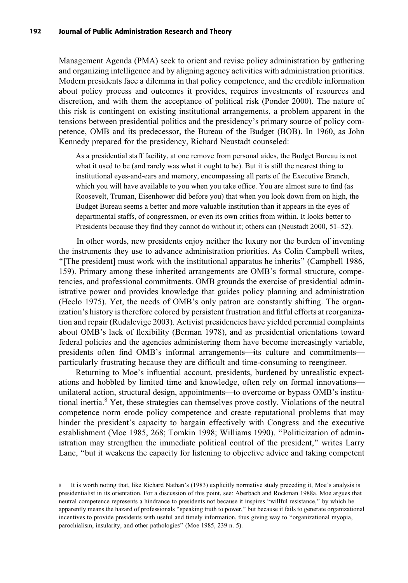Management Agenda (PMA) seek to orient and revise policy administration by gathering and organizing intelligence and by aligning agency activities with administration priorities. Modern presidents face a dilemma in that policy competence, and the credible information about policy process and outcomes it provides, requires investments of resources and discretion, and with them the acceptance of political risk (Ponder 2000). The nature of this risk is contingent on existing institutional arrangements, a problem apparent in the tensions between presidential politics and the presidency's primary source of policy competence, OMB and its predecessor, the Bureau of the Budget (BOB). In 1960, as John Kennedy prepared for the presidency, Richard Neustadt counseled:

As a presidential staff facility, at one remove from personal aides, the Budget Bureau is not what it used to be (and rarely was what it ought to be). But it is still the nearest thing to institutional eyes-and-ears and memory, encompassing all parts of the Executive Branch, which you will have available to you when you take office. You are almost sure to find (as Roosevelt, Truman, Eisenhower did before you) that when you look down from on high, the Budget Bureau seems a better and more valuable institution than it appears in the eyes of departmental staffs, of congressmen, or even its own critics from within. It looks better to Presidents because they find they cannot do without it; others can (Neustadt 2000, 51–52).

In other words, new presidents enjoy neither the luxury nor the burden of inventing the instruments they use to advance administration priorities. As Colin Campbell writes, ''[The president] must work with the institutional apparatus he inherits'' (Campbell 1986, 159). Primary among these inherited arrangements are OMB's formal structure, competencies, and professional commitments. OMB grounds the exercise of presidential administrative power and provides knowledge that guides policy planning and administration (Heclo 1975). Yet, the needs of OMB's only patron are constantly shifting. The organization's history is therefore colored by persistent frustration and fitful efforts at reorganization and repair (Rudalevige 2003). Activist presidencies have yielded perennial complaints about OMB's lack of flexibility (Berman 1978), and as presidential orientations toward federal policies and the agencies administering them have become increasingly variable, presidents often find OMB's informal arrangements—its culture and commitments particularly frustrating because they are difficult and time-consuming to reengineer.

Returning to Moe's influential account, presidents, burdened by unrealistic expectations and hobbled by limited time and knowledge, often rely on formal innovations unilateral action, structural design, appointments—to overcome or bypass OMB's institutional inertia.8 Yet, these strategies can themselves prove costly. Violations of the neutral competence norm erode policy competence and create reputational problems that may hinder the president's capacity to bargain effectively with Congress and the executive establishment (Moe 1985, 268; Tomkin 1998; Williams 1990). ''Politicization of administration may strengthen the immediate political control of the president," writes Larry Lane, ''but it weakens the capacity for listening to objective advice and taking competent

<sup>8</sup> It is worth noting that, like Richard Nathan's (1983) explicitly normative study preceding it, Moe's analysis is presidentialist in its orientation. For a discussion of this point, see: Aberbach and Rockman 1988a. Moe argues that neutral competence represents a hindrance to presidents not because it inspires ''willful resistance,'' by which he apparently means the hazard of professionals ''speaking truth to power,'' but because it fails to generate organizational incentives to provide presidents with useful and timely information, thus giving way to ''organizational myopia, parochialism, insularity, and other pathologies'' (Moe 1985, 239 n. 5).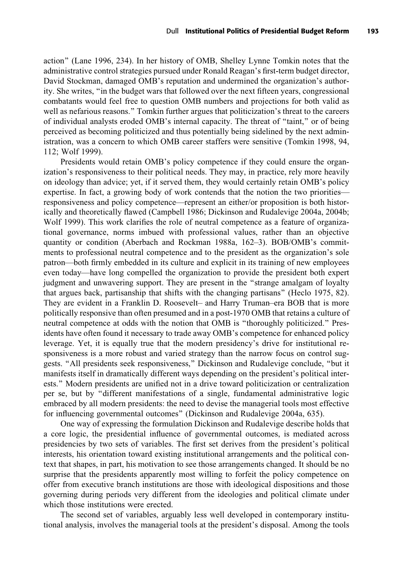action'' (Lane 1996, 234). In her history of OMB, Shelley Lynne Tomkin notes that the administrative control strategies pursued under Ronald Reagan's first-term budget director, David Stockman, damaged OMB's reputation and undermined the organization's authority. She writes, ''in the budget wars that followed over the next fifteen years, congressional combatants would feel free to question OMB numbers and projections for both valid as well as nefarious reasons.'' Tomkin further argues that politicization's threat to the careers of individual analysts eroded OMB's internal capacity. The threat of ''taint,'' or of being perceived as becoming politicized and thus potentially being sidelined by the next administration, was a concern to which OMB career staffers were sensitive (Tomkin 1998, 94, 112; Wolf 1999).

Presidents would retain OMB's policy competence if they could ensure the organization's responsiveness to their political needs. They may, in practice, rely more heavily on ideology than advice; yet, if it served them, they would certainly retain OMB's policy expertise. In fact, a growing body of work contends that the notion the two priorities responsiveness and policy competence—represent an either/or proposition is both historically and theoretically flawed (Campbell 1986; Dickinson and Rudalevige 2004a, 2004b; Wolf 1999). This work clarifies the role of neutral competence as a feature of organizational governance, norms imbued with professional values, rather than an objective quantity or condition (Aberbach and Rockman 1988a, 162–3). BOB/OMB's commitments to professional neutral competence and to the president as the organization's sole patron—both firmly embedded in its culture and explicit in its training of new employees even today—have long compelled the organization to provide the president both expert judgment and unwavering support. They are present in the ''strange amalgam of loyalty that argues back, partisanship that shifts with the changing partisans'' (Heclo 1975, 82). They are evident in a Franklin D. Roosevelt– and Harry Truman–era BOB that is more politically responsive than often presumed and in a post-1970 OMB that retains a culture of neutral competence at odds with the notion that OMB is ''thoroughly politicized.'' Presidents have often found it necessary to trade away OMB's competence for enhanced policy leverage. Yet, it is equally true that the modern presidency's drive for institutional responsiveness is a more robust and varied strategy than the narrow focus on control suggests. ''All presidents seek responsiveness,'' Dickinson and Rudalevige conclude, ''but it manifests itself in dramatically different ways depending on the president's political interests.'' Modern presidents are unified not in a drive toward politicization or centralization per se, but by ''different manifestations of a single, fundamental administrative logic embraced by all modern presidents: the need to devise the managerial tools most effective for influencing governmental outcomes'' (Dickinson and Rudalevige 2004a, 635).

One way of expressing the formulation Dickinson and Rudalevige describe holds that a core logic, the presidential influence of governmental outcomes, is mediated across presidencies by two sets of variables. The first set derives from the president's political interests, his orientation toward existing institutional arrangements and the political context that shapes, in part, his motivation to see those arrangements changed. It should be no surprise that the presidents apparently most willing to forfeit the policy competence on offer from executive branch institutions are those with ideological dispositions and those governing during periods very different from the ideologies and political climate under which those institutions were erected.

The second set of variables, arguably less well developed in contemporary institutional analysis, involves the managerial tools at the president's disposal. Among the tools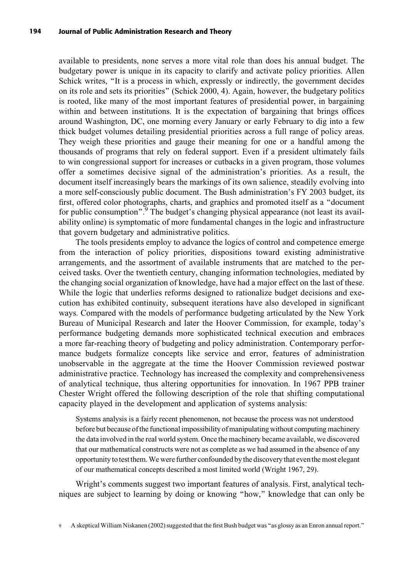available to presidents, none serves a more vital role than does his annual budget. The budgetary power is unique in its capacity to clarify and activate policy priorities. Allen Schick writes, ''It is a process in which, expressly or indirectly, the government decides on its role and sets its priorities'' (Schick 2000, 4). Again, however, the budgetary politics is rooted, like many of the most important features of presidential power, in bargaining within and between institutions. It is the expectation of bargaining that brings offices around Washington, DC, one morning every January or early February to dig into a few thick budget volumes detailing presidential priorities across a full range of policy areas. They weigh these priorities and gauge their meaning for one or a handful among the thousands of programs that rely on federal support. Even if a president ultimately fails to win congressional support for increases or cutbacks in a given program, those volumes offer a sometimes decisive signal of the administration's priorities. As a result, the document itself increasingly bears the markings of its own salience, steadily evolving into a more self-consciously public document. The Bush administration's FY 2003 budget, its first, offered color photographs, charts, and graphics and promoted itself as a ''document for public consumption".<sup>9</sup> The budget's changing physical appearance (not least its availability online) is symptomatic of more fundamental changes in the logic and infrastructure that govern budgetary and administrative politics.

The tools presidents employ to advance the logics of control and competence emerge from the interaction of policy priorities, dispositions toward existing administrative arrangements, and the assortment of available instruments that are matched to the perceived tasks. Over the twentieth century, changing information technologies, mediated by the changing social organization of knowledge, have had a major effect on the last of these. While the logic that underlies reforms designed to rationalize budget decisions and execution has exhibited continuity, subsequent iterations have also developed in significant ways. Compared with the models of performance budgeting articulated by the New York Bureau of Municipal Research and later the Hoover Commission, for example, today's performance budgeting demands more sophisticated technical execution and embraces a more far-reaching theory of budgeting and policy administration. Contemporary performance budgets formalize concepts like service and error, features of administration unobservable in the aggregate at the time the Hoover Commission reviewed postwar administrative practice. Technology has increased the complexity and comprehensiveness of analytical technique, thus altering opportunities for innovation. In 1967 PPB trainer Chester Wright offered the following description of the role that shifting computational capacity played in the development and application of systems analysis:

Systems analysis is a fairly recent phenomenon, not because the process was not understood before but because of the functional impossibility of manipulating without computing machinery the data involved in the real world system. Once the machinery became available, we discovered that our mathematical constructs were not as complete as we had assumed in the absence of any opportunity totestthem.We were further confounded bythe discovery that eventhe most elegant of our mathematical concepts described a most limited world (Wright 1967, 29).

Wright's comments suggest two important features of analysis. First, analytical techniques are subject to learning by doing or knowing ''how,'' knowledge that can only be

9 A skeptical William Niskanen (2002) suggested that the first Bush budget was ''as glossy as an Enron annual report.''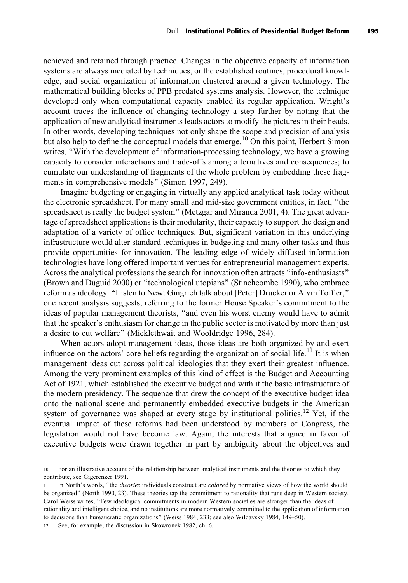achieved and retained through practice. Changes in the objective capacity of information systems are always mediated by techniques, or the established routines, procedural knowledge, and social organization of information clustered around a given technology. The mathematical building blocks of PPB predated systems analysis. However, the technique developed only when computational capacity enabled its regular application. Wright's account traces the influence of changing technology a step further by noting that the application of new analytical instruments leads actors to modify the pictures in their heads. In other words, developing techniques not only shape the scope and precision of analysis but also help to define the conceptual models that emerge.<sup>10</sup> On this point, Herbert Simon writes, "With the development of information-processing technology, we have a growing capacity to consider interactions and trade-offs among alternatives and consequences; to cumulate our understanding of fragments of the whole problem by embedding these fragments in comprehensive models'' (Simon 1997, 249).

Imagine budgeting or engaging in virtually any applied analytical task today without the electronic spreadsheet. For many small and mid-size government entities, in fact, ''the spreadsheet is really the budget system'' (Metzgar and Miranda 2001, 4). The great advantage of spreadsheet applications is their modularity, their capacity to support the design and adaptation of a variety of office techniques. But, significant variation in this underlying infrastructure would alter standard techniques in budgeting and many other tasks and thus provide opportunities for innovation. The leading edge of widely diffused information technologies have long offered important venues for entrepreneurial management experts. Across the analytical professions the search for innovation often attracts ''info-enthusiasts'' (Brown and Duguid 2000) or ''technological utopians'' (Stinchcombe 1990), who embrace reform as ideology. ''Listen to Newt Gingrich talk about [Peter] Drucker or Alvin Toffler,'' one recent analysis suggests, referring to the former House Speaker's commitment to the ideas of popular management theorists, ''and even his worst enemy would have to admit that the speaker's enthusiasm for change in the public sector is motivated by more than just a desire to cut welfare'' (Micklethwait and Wooldridge 1996, 284).

When actors adopt management ideas, those ideas are both organized by and exert influence on the actors' core beliefs regarding the organization of social life.<sup>11</sup> It is when management ideas cut across political ideologies that they exert their greatest influence. Among the very prominent examples of this kind of effect is the Budget and Accounting Act of 1921, which established the executive budget and with it the basic infrastructure of the modern presidency. The sequence that drew the concept of the executive budget idea onto the national scene and permanently embedded executive budgets in the American system of governance was shaped at every stage by institutional politics.<sup>12</sup> Yet, if the eventual impact of these reforms had been understood by members of Congress, the legislation would not have become law. Again, the interests that aligned in favor of executive budgets were drawn together in part by ambiguity about the objectives and

<sup>10</sup> For an illustrative account of the relationship between analytical instruments and the theories to which they contribute, see Gigerenzer 1991.

<sup>11</sup> In North's words, "the *theories* individuals construct are *colored* by normative views of how the world should be organized'' (North 1990, 23). These theories tap the commitment to rationality that runs deep in Western society. Carol Weiss writes, ''Few ideological commitments in modern Western societies are stronger than the ideas of rationality and intelligent choice, and no institutions are more normatively committed to the application of information to decisions than bureaucratic organizations'' (Weiss 1984, 233; see also Wildavsky 1984, 149–50).

<sup>12</sup> See, for example, the discussion in Skowronek 1982, ch. 6.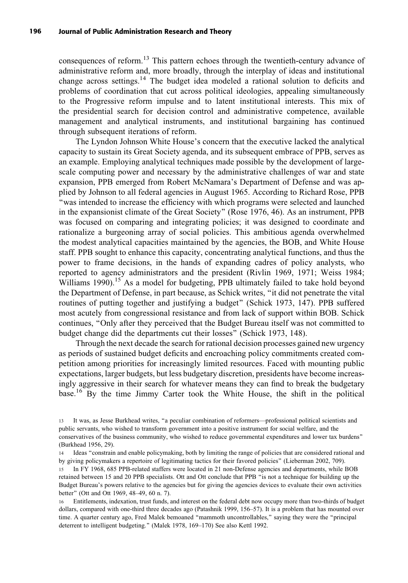consequences of reform.<sup>13</sup> This pattern echoes through the twentieth-century advance of administrative reform and, more broadly, through the interplay of ideas and institutional change across settings.<sup>14</sup> The budget idea modeled a rational solution to deficits and problems of coordination that cut across political ideologies, appealing simultaneously to the Progressive reform impulse and to latent institutional interests. This mix of the presidential search for decision control and administrative competence, available management and analytical instruments, and institutional bargaining has continued through subsequent iterations of reform.

The Lyndon Johnson White House's concern that the executive lacked the analytical capacity to sustain its Great Society agenda, and its subsequent embrace of PPB, serves as an example. Employing analytical techniques made possible by the development of largescale computing power and necessary by the administrative challenges of war and state expansion, PPB emerged from Robert McNamara's Department of Defense and was applied by Johnson to all federal agencies in August 1965. According to Richard Rose, PPB ''was intended to increase the efficiency with which programs were selected and launched in the expansionist climate of the Great Society'' (Rose 1976, 46). As an instrument, PPB was focused on comparing and integrating policies; it was designed to coordinate and rationalize a burgeoning array of social policies. This ambitious agenda overwhelmed the modest analytical capacities maintained by the agencies, the BOB, and White House staff. PPB sought to enhance this capacity, concentrating analytical functions, and thus the power to frame decisions, in the hands of expanding cadres of policy analysts, who reported to agency administrators and the president (Rivlin 1969, 1971; Weiss 1984; Williams 1990).<sup>15</sup> As a model for budgeting, PPB ultimately failed to take hold beyond the Department of Defense, in part because, as Schick writes, ''it did not penetrate the vital routines of putting together and justifying a budget'' (Schick 1973, 147). PPB suffered most acutely from congressional resistance and from lack of support within BOB. Schick continues, ''Only after they perceived that the Budget Bureau itself was not committed to budget change did the departments cut their losses'' (Schick 1973, 148).

Through the next decade the search for rational decision processes gained new urgency as periods of sustained budget deficits and encroaching policy commitments created competition among priorities for increasingly limited resources. Faced with mounting public expectations, larger budgets, but less budgetary discretion, presidents have become increasingly aggressive in their search for whatever means they can find to break the budgetary base.<sup>16</sup> By the time Jimmy Carter took the White House, the shift in the political

15 In FY 1968, 685 PPB-related staffers were located in 21 non-Defense agencies and departments, while BOB retained between 15 and 20 PPB specialists. Ott and Ott conclude that PPB ''is not a technique for building up the Budget Bureau's powers relative to the agencies but for giving the agencies devices to evaluate their own activities better'' (Ott and Ott 1969, 48–49, 60 n. 7).

16 Entitlements, indexation, trust funds, and interest on the federal debt now occupy more than two-thirds of budget dollars, compared with one-third three decades ago (Patashnik 1999, 156–57). It is a problem that has mounted over time. A quarter century ago, Fred Malek bemoaned ''mammoth uncontrollables,'' saying they were the ''principal deterrent to intelligent budgeting.'' (Malek 1978, 169–170) See also Kettl 1992.

<sup>13</sup> It was, as Jesse Burkhead writes, ''a peculiar combination of reformers—professional political scientists and public servants, who wished to transform government into a positive instrument for social welfare, and the conservatives of the business community, who wished to reduce governmental expenditures and lower tax burdens'' (Burkhead 1956, 29).

<sup>14</sup> Ideas ''constrain and enable policymaking, both by limiting the range of policies that are considered rational and by giving policymakers a repertoire of legitimating tactics for their favored policies'' (Lieberman 2002, 709).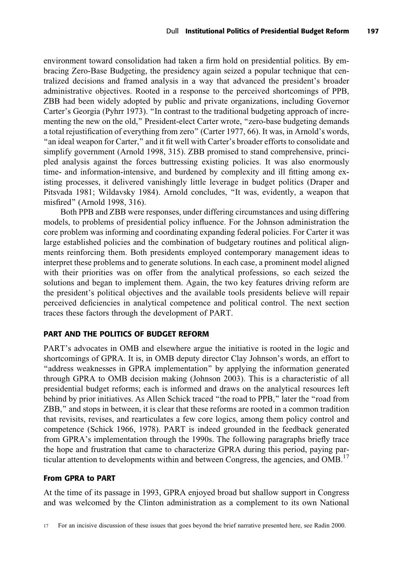environment toward consolidation had taken a firm hold on presidential politics. By embracing Zero-Base Budgeting, the presidency again seized a popular technique that centralized decisions and framed analysis in a way that advanced the president's broader administrative objectives. Rooted in a response to the perceived shortcomings of PPB, ZBB had been widely adopted by public and private organizations, including Governor Carter's Georgia (Pyhrr 1973). ''In contrast to the traditional budgeting approach of incrementing the new on the old," President-elect Carter wrote, "zero-base budgeting demands a total rejustification of everything from zero'' (Carter 1977, 66). It was, in Arnold's words, ''an ideal weapon for Carter,'' and it fit well with Carter's broader efforts to consolidate and simplify government (Arnold 1998, 315). ZBB promised to stand comprehensive, principled analysis against the forces buttressing existing policies. It was also enormously time- and information-intensive, and burdened by complexity and ill fitting among existing processes, it delivered vanishingly little leverage in budget politics (Draper and Pitsvada 1981; Wildavsky 1984). Arnold concludes, ''It was, evidently, a weapon that misfired'' (Arnold 1998, 316).

Both PPB and ZBB were responses, under differing circumstances and using differing models, to problems of presidential policy influence. For the Johnson administration the core problem was informing and coordinating expanding federal policies. For Carter it was large established policies and the combination of budgetary routines and political alignments reinforcing them. Both presidents employed contemporary management ideas to interpret these problems and to generate solutions. In each case, a prominent model aligned with their priorities was on offer from the analytical professions, so each seized the solutions and began to implement them. Again, the two key features driving reform are the president's political objectives and the available tools presidents believe will repair perceived deficiencies in analytical competence and political control. The next section traces these factors through the development of PART.

## PART AND THE POLITICS OF BUDGET REFORM

PART's advocates in OMB and elsewhere argue the initiative is rooted in the logic and shortcomings of GPRA. It is, in OMB deputy director Clay Johnson's words, an effort to ''address weaknesses in GPRA implementation'' by applying the information generated through GPRA to OMB decision making (Johnson 2003). This is a characteristic of all presidential budget reforms; each is informed and draws on the analytical resources left behind by prior initiatives. As Allen Schick traced ''the road to PPB,'' later the ''road from ZBB,'' and stops in between, it is clear that these reforms are rooted in a common tradition that revisits, revises, and rearticulates a few core logics, among them policy control and competence (Schick 1966, 1978). PART is indeed grounded in the feedback generated from GPRA's implementation through the 1990s. The following paragraphs briefly trace the hope and frustration that came to characterize GPRA during this period, paying particular attention to developments within and between Congress, the agencies, and  $OMB$ <sup>17</sup>

#### From GPRA to PART

At the time of its passage in 1993, GPRA enjoyed broad but shallow support in Congress and was welcomed by the Clinton administration as a complement to its own National

<sup>17</sup> For an incisive discussion of these issues that goes beyond the brief narrative presented here, see Radin 2000.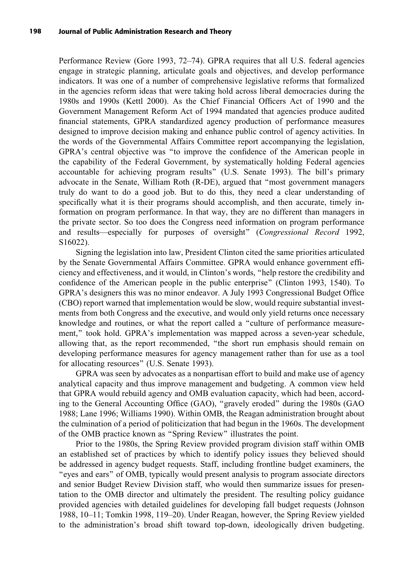Performance Review (Gore 1993, 72–74). GPRA requires that all U.S. federal agencies engage in strategic planning, articulate goals and objectives, and develop performance indicators. It was one of a number of comprehensive legislative reforms that formalized in the agencies reform ideas that were taking hold across liberal democracies during the 1980s and 1990s (Kettl 2000). As the Chief Financial Officers Act of 1990 and the Government Management Reform Act of 1994 mandated that agencies produce audited financial statements, GPRA standardized agency production of performance measures designed to improve decision making and enhance public control of agency activities. In the words of the Governmental Affairs Committee report accompanying the legislation, GPRA's central objective was ''to improve the confidence of the American people in the capability of the Federal Government, by systematically holding Federal agencies accountable for achieving program results'' (U.S. Senate 1993). The bill's primary advocate in the Senate, William Roth (R-DE), argued that ''most government managers truly do want to do a good job. But to do this, they need a clear understanding of specifically what it is their programs should accomplish, and then accurate, timely information on program performance. In that way, they are no different than managers in the private sector. So too does the Congress need information on program performance and results—especially for purposes of oversight'' (Congressional Record 1992, S16022).

Signing the legislation into law, President Clinton cited the same priorities articulated by the Senate Governmental Affairs Committee. GPRA would enhance government efficiency and effectiveness, and it would, in Clinton's words, ''help restore the credibility and confidence of the American people in the public enterprise'' (Clinton 1993, 1540). To GPRA's designers this was no minor endeavor. A July 1993 Congressional Budget Office (CBO) report warned that implementation would be slow, would require substantial investments from both Congress and the executive, and would only yield returns once necessary knowledge and routines, or what the report called a ''culture of performance measurement," took hold. GPRA's implementation was mapped across a seven-year schedule, allowing that, as the report recommended, ''the short run emphasis should remain on developing performance measures for agency management rather than for use as a tool for allocating resources'' (U.S. Senate 1993).

GPRA was seen by advocates as a nonpartisan effort to build and make use of agency analytical capacity and thus improve management and budgeting. A common view held that GPRA would rebuild agency and OMB evaluation capacity, which had been, according to the General Accounting Office (GAO), ''gravely eroded'' during the 1980s (GAO 1988; Lane 1996; Williams 1990). Within OMB, the Reagan administration brought about the culmination of a period of politicization that had begun in the 1960s. The development of the OMB practice known as ''Spring Review'' illustrates the point.

Prior to the 1980s, the Spring Review provided program division staff within OMB an established set of practices by which to identify policy issues they believed should be addressed in agency budget requests. Staff, including frontline budget examiners, the ''eyes and ears'' of OMB, typically would present analysis to program associate directors and senior Budget Review Division staff, who would then summarize issues for presentation to the OMB director and ultimately the president. The resulting policy guidance provided agencies with detailed guidelines for developing fall budget requests (Johnson 1988, 10–11; Tomkin 1998, 119–20). Under Reagan, however, the Spring Review yielded to the administration's broad shift toward top-down, ideologically driven budgeting.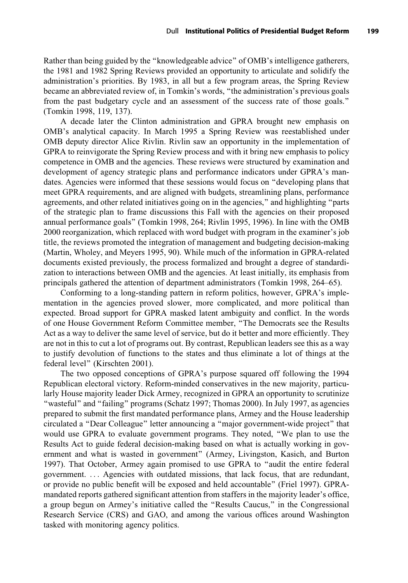Rather than being guided by the ''knowledgeable advice'' of OMB's intelligence gatherers, the 1981 and 1982 Spring Reviews provided an opportunity to articulate and solidify the administration's priorities. By 1983, in all but a few program areas, the Spring Review became an abbreviated review of, in Tomkin's words, ''the administration's previous goals from the past budgetary cycle and an assessment of the success rate of those goals.'' (Tomkin 1998, 119, 137).

A decade later the Clinton administration and GPRA brought new emphasis on OMB's analytical capacity. In March 1995 a Spring Review was reestablished under OMB deputy director Alice Rivlin. Rivlin saw an opportunity in the implementation of GPRA to reinvigorate the Spring Review process and with it bring new emphasis to policy competence in OMB and the agencies. These reviews were structured by examination and development of agency strategic plans and performance indicators under GPRA's mandates. Agencies were informed that these sessions would focus on ''developing plans that meet GPRA requirements, and are aligned with budgets, streamlining plans, performance agreements, and other related initiatives going on in the agencies,'' and highlighting ''parts of the strategic plan to frame discussions this Fall with the agencies on their proposed annual performance goals'' (Tomkin 1998, 264; Rivlin 1995, 1996). In line with the OMB 2000 reorganization, which replaced with word budget with program in the examiner's job title, the reviews promoted the integration of management and budgeting decision-making (Martin, Wholey, and Meyers 1995, 90). While much of the information in GPRA-related documents existed previously, the process formalized and brought a degree of standardization to interactions between OMB and the agencies. At least initially, its emphasis from principals gathered the attention of department administrators (Tomkin 1998, 264–65).

Conforming to a long-standing pattern in reform politics, however, GPRA's implementation in the agencies proved slower, more complicated, and more political than expected. Broad support for GPRA masked latent ambiguity and conflict. In the words of one House Government Reform Committee member, ''The Democrats see the Results Act as a way to deliver the same level of service, but do it better and more efficiently. They are not in this to cut a lot of programs out. By contrast, Republican leaders see this as a way to justify devolution of functions to the states and thus eliminate a lot of things at the federal level'' (Kirschten 2001).

The two opposed conceptions of GPRA's purpose squared off following the 1994 Republican electoral victory. Reform-minded conservatives in the new majority, particularly House majority leader Dick Armey, recognized in GPRA an opportunity to scrutinize "wasteful" and "failing" programs (Schatz 1997; Thomas 2000). In July 1997, as agencies prepared to submit the first mandated performance plans, Armey and the House leadership circulated a ''Dear Colleague'' letter announcing a ''major government-wide project'' that would use GPRA to evaluate government programs. They noted, ''We plan to use the Results Act to guide federal decision-making based on what is actually working in government and what is wasted in government'' (Armey, Livingston, Kasich, and Burton 1997). That October, Armey again promised to use GPRA to ''audit the entire federal government. ... Agencies with outdated missions, that lack focus, that are redundant, or provide no public benefit will be exposed and held accountable'' (Friel 1997). GPRAmandated reports gathered significant attention from staffers in the majority leader's office, a group begun on Armey's initiative called the "Results Caucus," in the Congressional Research Service (CRS) and GAO, and among the various offices around Washington tasked with monitoring agency politics.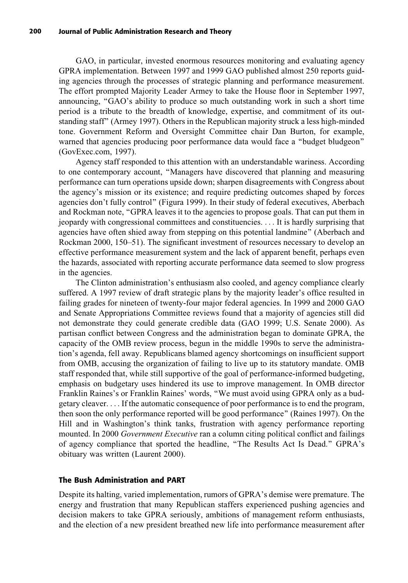GAO, in particular, invested enormous resources monitoring and evaluating agency GPRA implementation. Between 1997 and 1999 GAO published almost 250 reports guiding agencies through the processes of strategic planning and performance measurement. The effort prompted Majority Leader Armey to take the House floor in September 1997, announcing, "GAO's ability to produce so much outstanding work in such a short time period is a tribute to the breadth of knowledge, expertise, and commitment of its outstanding staff'' (Armey 1997). Others in the Republican majority struck a less high-minded tone. Government Reform and Oversight Committee chair Dan Burton, for example, warned that agencies producing poor performance data would face a ''budget bludgeon'' (GovExec.com, 1997).

Agency staff responded to this attention with an understandable wariness. According to one contemporary account, ''Managers have discovered that planning and measuring performance can turn operations upside down; sharpen disagreements with Congress about the agency's mission or its existence; and require predicting outcomes shaped by forces agencies don't fully control'' (Figura 1999). In their study of federal executives, Aberbach and Rockman note, ''GPRA leaves it to the agencies to propose goals. That can put them in jeopardy with congressional committees and constituencies. ... It is hardly surprising that agencies have often shied away from stepping on this potential landmine'' (Aberbach and Rockman 2000, 150–51). The significant investment of resources necessary to develop an effective performance measurement system and the lack of apparent benefit, perhaps even the hazards, associated with reporting accurate performance data seemed to slow progress in the agencies.

The Clinton administration's enthusiasm also cooled, and agency compliance clearly suffered. A 1997 review of draft strategic plans by the majority leader's office resulted in failing grades for nineteen of twenty-four major federal agencies. In 1999 and 2000 GAO and Senate Appropriations Committee reviews found that a majority of agencies still did not demonstrate they could generate credible data (GAO 1999; U.S. Senate 2000). As partisan conflict between Congress and the administration began to dominate GPRA, the capacity of the OMB review process, begun in the middle 1990s to serve the administration's agenda, fell away. Republicans blamed agency shortcomings on insufficient support from OMB, accusing the organization of failing to live up to its statutory mandate. OMB staff responded that, while still supportive of the goal of performance-informed budgeting, emphasis on budgetary uses hindered its use to improve management. In OMB director Franklin Raines's or Franklin Raines' words, ''We must avoid using GPRA only as a budgetary cleaver. ... If the automatic consequence of poor performance is to end the program, then soon the only performance reported will be good performance'' (Raines 1997). On the Hill and in Washington's think tanks, frustration with agency performance reporting mounted. In 2000 Government Executive ran a column citing political conflict and failings of agency compliance that sported the headline, ''The Results Act Is Dead.'' GPRA's obituary was written (Laurent 2000).

### The Bush Administration and PART

Despite its halting, varied implementation, rumors of GPRA's demise were premature. The energy and frustration that many Republican staffers experienced pushing agencies and decision makers to take GPRA seriously, ambitions of management reform enthusiasts, and the election of a new president breathed new life into performance measurement after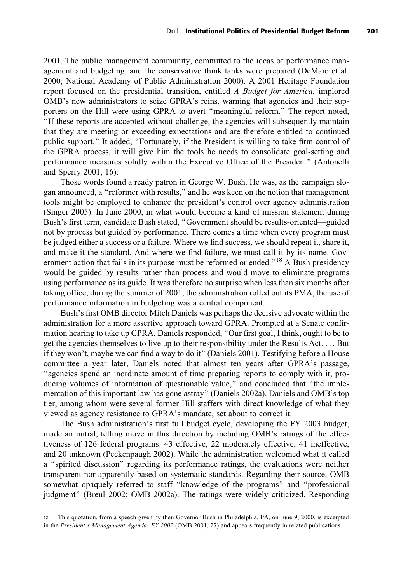2001. The public management community, committed to the ideas of performance management and budgeting, and the conservative think tanks were prepared (DeMaio et al. 2000; National Academy of Public Administration 2000). A 2001 Heritage Foundation report focused on the presidential transition, entitled A Budget for America, implored OMB's new administrators to seize GPRA's reins, warning that agencies and their supporters on the Hill were using GPRA to avert ''meaningful reform.'' The report noted, ''If these reports are accepted without challenge, the agencies will subsequently maintain that they are meeting or exceeding expectations and are therefore entitled to continued public support.'' It added, ''Fortunately, if the President is willing to take firm control of the GPRA process, it will give him the tools he needs to consolidate goal-setting and performance measures solidly within the Executive Office of the President'' (Antonelli and Sperry 2001, 16).

Those words found a ready patron in George W. Bush. He was, as the campaign slogan announced, a ''reformer with results,'' and he was keen on the notion that management tools might be employed to enhance the president's control over agency administration (Singer 2005). In June 2000, in what would become a kind of mission statement during Bush's first term, candidate Bush stated, ''Government should be results-oriented—guided not by process but guided by performance. There comes a time when every program must be judged either a success or a failure. Where we find success, we should repeat it, share it, and make it the standard. And where we find failure, we must call it by its name. Government action that fails in its purpose must be reformed or ended."<sup>18</sup> A Bush presidency would be guided by results rather than process and would move to eliminate programs using performance as its guide. It was therefore no surprise when less than six months after taking office, during the summer of 2001, the administration rolled out its PMA, the use of performance information in budgeting was a central component.

Bush's first OMB director Mitch Daniels was perhaps the decisive advocate within the administration for a more assertive approach toward GPRA. Prompted at a Senate confirmation hearing to take up GPRA, Daniels responded, ''Our first goal, I think, ought to be to get the agencies themselves to live up to their responsibility under the Results Act. ... But if they won't, maybe we can find a way to do it'' (Daniels 2001). Testifying before a House committee a year later, Daniels noted that almost ten years after GPRA's passage, ''agencies spend an inordinate amount of time preparing reports to comply with it, producing volumes of information of questionable value,'' and concluded that ''the implementation of this important law has gone astray'' (Daniels 2002a). Daniels and OMB's top tier, among whom were several former Hill staffers with direct knowledge of what they viewed as agency resistance to GPRA's mandate, set about to correct it.

The Bush administration's first full budget cycle, developing the FY 2003 budget, made an initial, telling move in this direction by including OMB's ratings of the effectiveness of 126 federal programs: 43 effective, 22 moderately effective, 41 ineffective, and 20 unknown (Peckenpaugh 2002). While the administration welcomed what it called a ''spirited discussion'' regarding its performance ratings, the evaluations were neither transparent nor apparently based on systematic standards. Regarding their source, OMB somewhat opaquely referred to staff ''knowledge of the programs'' and ''professional judgment'' (Breul 2002; OMB 2002a). The ratings were widely criticized. Responding

18 This quotation, from a speech given by then Governor Bush in Philadelphia, PA, on June 9, 2000, is excerpted in the President's Management Agenda: FY 2002 (OMB 2001, 27) and appears frequently in related publications.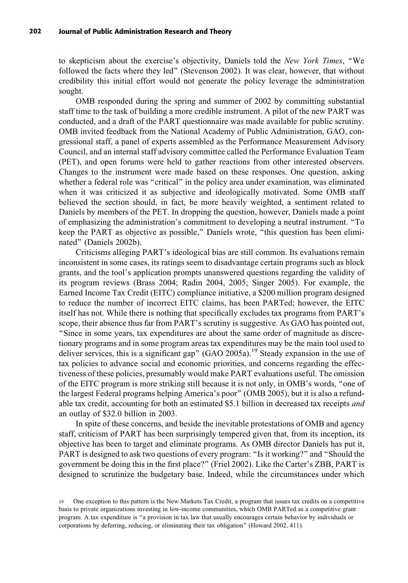to skepticism about the exercise's objectivity, Daniels told the New York Times, ''We followed the facts where they led'' (Stevenson 2002). It was clear, however, that without credibility this initial effort would not generate the policy leverage the administration sought.

OMB responded during the spring and summer of 2002 by committing substantial staff time to the task of building a more credible instrument. A pilot of the new PART was conducted, and a draft of the PART questionnaire was made available for public scrutiny. OMB invited feedback from the National Academy of Public Administration, GAO, congressional staff, a panel of experts assembled as the Performance Measurement Advisory Council, and an internal staff advisory committee called the Performance Evaluation Team (PET), and open forums were held to gather reactions from other interested observers. Changes to the instrument were made based on these responses. One question, asking whether a federal role was "critical" in the policy area under examination, was eliminated when it was criticized it as subjective and ideologically motivated. Some OMB staff believed the section should, in fact, be more heavily weighted, a sentiment related to Daniels by members of the PET. In dropping the question, however, Daniels made a point of emphasizing the administration's commitment to developing a neutral instrument. ''To keep the PART as objective as possible,'' Daniels wrote, ''this question has been eliminated'' (Daniels 2002b).

Criticisms alleging PART's ideological bias are still common. Its evaluations remain inconsistent in some cases, its ratings seem to disadvantage certain programs such as block grants, and the tool's application prompts unanswered questions regarding the validity of its program reviews (Brass 2004; Radin 2004, 2005; Singer 2005). For example, the Earned Income Tax Credit (EITC) compliance initiative, a \$200 million program designed to reduce the number of incorrect EITC claims, has been PARTed; however, the EITC itself has not. While there is nothing that specifically excludes tax programs from PART's scope, their absence thus far from PART's scrutiny is suggestive. As GAO has pointed out, ''Since in some years, tax expenditures are about the same order of magnitude as discretionary programs and in some program areas tax expenditures may be the main tool used to deliver services, this is a significant gap" (GAO 2005a).<sup>19</sup> Steady expansion in the use of tax policies to advance social and economic priorities, and concerns regarding the effectiveness of these policies, presumably would make PART evaluations useful. The omission of the EITC program is more striking still because it is not only, in OMB's words, ''one of the largest Federal programs helping America's poor'' (OMB 2005), but it is also a refundable tax credit, accounting for both an estimated \$5.1 billion in decreased tax receipts and an outlay of \$32.0 billion in 2003.

In spite of these concerns, and beside the inevitable protestations of OMB and agency staff, criticism of PART has been surprisingly tempered given that, from its inception, its objective has been to target and eliminate programs. As OMB director Daniels has put it, PART is designed to ask two questions of every program: "Is it working?" and "Should the government be doing this in the first place?'' (Friel 2002). Like the Carter's ZBB, PART is designed to scrutinize the budgetary base. Indeed, while the circumstances under which

<sup>19</sup> One exception to this pattern is the New Markets Tax Credit, a program that issues tax credits on a competitive basis to private organizations investing in low-income communities, which OMB PARTed as a competitive grant program. A tax expenditure is ''a provision in tax law that usually encourages certain behavior by individuals or corporations by deferring, reducing, or eliminating their tax obligation'' (Howard 2002, 411).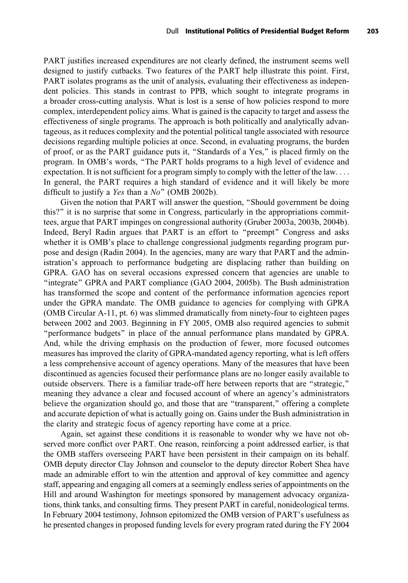PART justifies increased expenditures are not clearly defined, the instrument seems well designed to justify cutbacks. Two features of the PART help illustrate this point. First, PART isolates programs as the unit of analysis, evaluating their effectiveness as independent policies. This stands in contrast to PPB, which sought to integrate programs in a broader cross-cutting analysis. What is lost is a sense of how policies respond to more complex, interdependent policy aims. What is gained is the capacity to target and assess the effectiveness of single programs. The approach is both politically and analytically advantageous, as it reduces complexity and the potential political tangle associated with resource decisions regarding multiple policies at once. Second, in evaluating programs, the burden of proof, or as the PART guidance puts it, ''Standards of a Yes,'' is placed firmly on the program. In OMB's words, ''The PART holds programs to a high level of evidence and expectation. It is not sufficient for a program simply to comply with the letter of the law.... In general, the PART requires a high standard of evidence and it will likely be more difficult to justify a Yes than a  $No$ " (OMB 2002b).

Given the notion that PART will answer the question, ''Should government be doing this?'' it is no surprise that some in Congress, particularly in the appropriations committees, argue that PART impinges on congressional authority (Gruber 2003a, 2003b, 2004b). Indeed, Beryl Radin argues that PART is an effort to ''preempt'' Congress and asks whether it is OMB's place to challenge congressional judgments regarding program purpose and design (Radin 2004). In the agencies, many are wary that PART and the administration's approach to performance budgeting are displacing rather than building on GPRA. GAO has on several occasions expressed concern that agencies are unable to ''integrate'' GPRA and PART compliance (GAO 2004, 2005b). The Bush administration has transformed the scope and content of the performance information agencies report under the GPRA mandate. The OMB guidance to agencies for complying with GPRA (OMB Circular A-11, pt. 6) was slimmed dramatically from ninety-four to eighteen pages between 2002 and 2003. Beginning in FY 2005, OMB also required agencies to submit ''performance budgets'' in place of the annual performance plans mandated by GPRA. And, while the driving emphasis on the production of fewer, more focused outcomes measures has improved the clarity of GPRA-mandated agency reporting, what is left offers a less comprehensive account of agency operations. Many of the measures that have been discontinued as agencies focused their performance plans are no longer easily available to outside observers. There is a familiar trade-off here between reports that are ''strategic,'' meaning they advance a clear and focused account of where an agency's administrators believe the organization should go, and those that are "transparent," offering a complete and accurate depiction of what is actually going on. Gains under the Bush administration in the clarity and strategic focus of agency reporting have come at a price.

Again, set against these conditions it is reasonable to wonder why we have not observed more conflict over PART. One reason, reinforcing a point addressed earlier, is that the OMB staffers overseeing PART have been persistent in their campaign on its behalf. OMB deputy director Clay Johnson and counselor to the deputy director Robert Shea have made an admirable effort to win the attention and approval of key committee and agency staff, appearing and engaging all comers at a seemingly endless series of appointments on the Hill and around Washington for meetings sponsored by management advocacy organizations, think tanks, and consulting firms. They present PART in careful, nonideological terms. In February 2004 testimony, Johnson epitomized the OMB version of PART's usefulness as he presented changes in proposed funding levels for every program rated during the FY 2004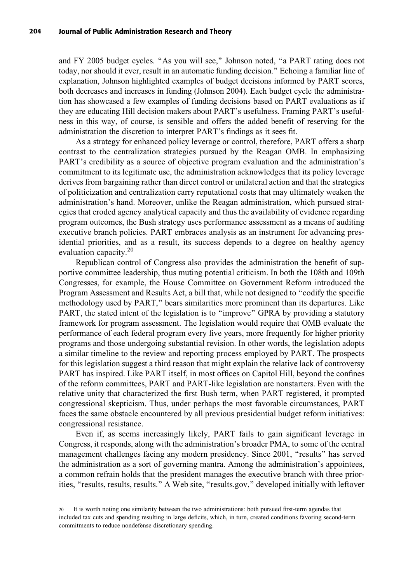and FY 2005 budget cycles. ''As you will see,'' Johnson noted, ''a PART rating does not today, nor should it ever, result in an automatic funding decision.'' Echoing a familiar line of explanation, Johnson highlighted examples of budget decisions informed by PART scores, both decreases and increases in funding (Johnson 2004). Each budget cycle the administration has showcased a few examples of funding decisions based on PART evaluations as if they are educating Hill decision makers about PART's usefulness. Framing PART's usefulness in this way, of course, is sensible and offers the added benefit of reserving for the administration the discretion to interpret PART's findings as it sees fit.

As a strategy for enhanced policy leverage or control, therefore, PART offers a sharp contrast to the centralization strategies pursued by the Reagan OMB. In emphasizing PART's credibility as a source of objective program evaluation and the administration's commitment to its legitimate use, the administration acknowledges that its policy leverage derives from bargaining rather than direct control or unilateral action and that the strategies of politicization and centralization carry reputational costs that may ultimately weaken the administration's hand. Moreover, unlike the Reagan administration, which pursued strategies that eroded agency analytical capacity and thus the availability of evidence regarding program outcomes, the Bush strategy uses performance assessment as a means of auditing executive branch policies. PART embraces analysis as an instrument for advancing presidential priorities, and as a result, its success depends to a degree on healthy agency evaluation capacity.<sup>20</sup>

Republican control of Congress also provides the administration the benefit of supportive committee leadership, thus muting potential criticism. In both the 108th and 109th Congresses, for example, the House Committee on Government Reform introduced the Program Assessment and Results Act, a bill that, while not designed to ''codify the specific methodology used by PART,'' bears similarities more prominent than its departures. Like PART, the stated intent of the legislation is to ''improve'' GPRA by providing a statutory framework for program assessment. The legislation would require that OMB evaluate the performance of each federal program every five years, more frequently for higher priority programs and those undergoing substantial revision. In other words, the legislation adopts a similar timeline to the review and reporting process employed by PART. The prospects for this legislation suggest a third reason that might explain the relative lack of controversy PART has inspired. Like PART itself, in most offices on Capitol Hill, beyond the confines of the reform committees, PART and PART-like legislation are nonstarters. Even with the relative unity that characterized the first Bush term, when PART registered, it prompted congressional skepticism. Thus, under perhaps the most favorable circumstances, PART faces the same obstacle encountered by all previous presidential budget reform initiatives: congressional resistance.

Even if, as seems increasingly likely, PART fails to gain significant leverage in Congress, it responds, along with the administration's broader PMA, to some of the central management challenges facing any modern presidency. Since 2001, ''results'' has served the administration as a sort of governing mantra. Among the administration's appointees, a common refrain holds that the president manages the executive branch with three priorities, "results, results, results." A Web site, "results.gov," developed initially with leftover

<sup>20</sup> It is worth noting one similarity between the two administrations: both pursued first-term agendas that included tax cuts and spending resulting in large deficits, which, in turn, created conditions favoring second-term commitments to reduce nondefense discretionary spending.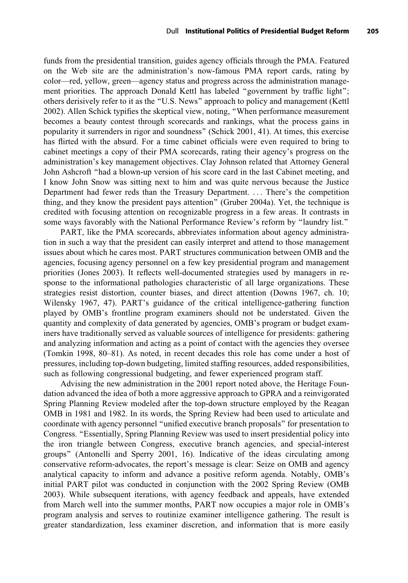funds from the presidential transition, guides agency officials through the PMA. Featured on the Web site are the administration's now-famous PMA report cards, rating by color—red, yellow, green—agency status and progress across the administration management priorities. The approach Donald Kettl has labeled ''government by traffic light''; others derisively refer to it as the ''U.S. News'' approach to policy and management (Kettl 2002). Allen Schick typifies the skeptical view, noting, ''When performance measurement becomes a beauty contest through scorecards and rankings, what the process gains in popularity it surrenders in rigor and soundness'' (Schick 2001, 41). At times, this exercise has flirted with the absurd. For a time cabinet officials were even required to bring to cabinet meetings a copy of their PMA scorecards, rating their agency's progress on the administration's key management objectives. Clay Johnson related that Attorney General John Ashcroft ''had a blown-up version of his score card in the last Cabinet meeting, and I know John Snow was sitting next to him and was quite nervous because the Justice Department had fewer reds than the Treasury Department. ... There's the competition thing, and they know the president pays attention'' (Gruber 2004a). Yet, the technique is credited with focusing attention on recognizable progress in a few areas. It contrasts in some ways favorably with the National Performance Review's reform by ''laundry list.''

PART, like the PMA scorecards, abbreviates information about agency administration in such a way that the president can easily interpret and attend to those management issues about which he cares most. PART structures communication between OMB and the agencies, focusing agency personnel on a few key presidential program and management priorities (Jones 2003). It reflects well-documented strategies used by managers in response to the informational pathologies characteristic of all large organizations. These strategies resist distortion, counter biases, and direct attention (Downs 1967, ch. 10; Wilensky 1967, 47). PART's guidance of the critical intelligence-gathering function played by OMB's frontline program examiners should not be understated. Given the quantity and complexity of data generated by agencies, OMB's program or budget examiners have traditionally served as valuable sources of intelligence for presidents: gathering and analyzing information and acting as a point of contact with the agencies they oversee (Tomkin 1998, 80–81). As noted, in recent decades this role has come under a host of pressures, including top-down budgeting, limited staffing resources, added responsibilities, such as following congressional budgeting, and fewer experienced program staff.

Advising the new administration in the 2001 report noted above, the Heritage Foundation advanced the idea of both a more aggressive approach to GPRA and a reinvigorated Spring Planning Review modeled after the top-down structure employed by the Reagan OMB in 1981 and 1982. In its words, the Spring Review had been used to articulate and coordinate with agency personnel ''unified executive branch proposals'' for presentation to Congress. ''Essentially, Spring Planning Review was used to insert presidential policy into the iron triangle between Congress, executive branch agencies, and special-interest groups'' (Antonelli and Sperry 2001, 16). Indicative of the ideas circulating among conservative reform-advocates, the report's message is clear: Seize on OMB and agency analytical capacity to inform and advance a positive reform agenda. Notably, OMB's initial PART pilot was conducted in conjunction with the 2002 Spring Review (OMB 2003). While subsequent iterations, with agency feedback and appeals, have extended from March well into the summer months, PART now occupies a major role in OMB's program analysis and serves to routinize examiner intelligence gathering. The result is greater standardization, less examiner discretion, and information that is more easily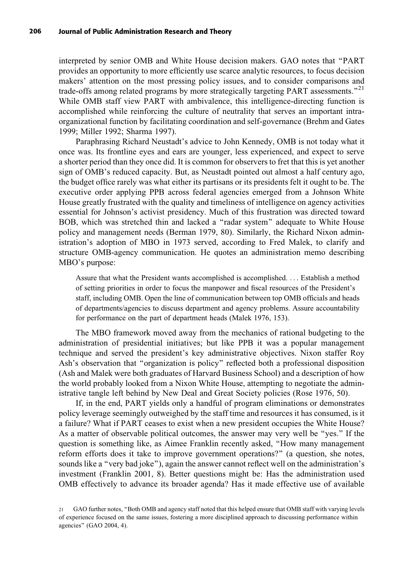interpreted by senior OMB and White House decision makers. GAO notes that ''PART provides an opportunity to more efficiently use scarce analytic resources, to focus decision makers' attention on the most pressing policy issues, and to consider comparisons and trade-offs among related programs by more strategically targeting PART assessments."<sup>21</sup> While OMB staff view PART with ambivalence, this intelligence-directing function is accomplished while reinforcing the culture of neutrality that serves an important intraorganizational function by facilitating coordination and self-governance (Brehm and Gates 1999; Miller 1992; Sharma 1997).

Paraphrasing Richard Neustadt's advice to John Kennedy, OMB is not today what it once was. Its frontline eyes and ears are younger, less experienced, and expect to serve a shorter period than they once did. It is common for observers to fret that this is yet another sign of OMB's reduced capacity. But, as Neustadt pointed out almost a half century ago, the budget office rarely was what either its partisans or its presidents felt it ought to be. The executive order applying PPB across federal agencies emerged from a Johnson White House greatly frustrated with the quality and timeliness of intelligence on agency activities essential for Johnson's activist presidency. Much of this frustration was directed toward BOB, which was stretched thin and lacked a ''radar system'' adequate to White House policy and management needs (Berman 1979, 80). Similarly, the Richard Nixon administration's adoption of MBO in 1973 served, according to Fred Malek, to clarify and structure OMB-agency communication. He quotes an administration memo describing MBO's purpose:

Assure that what the President wants accomplished is accomplished. ... Establish a method of setting priorities in order to focus the manpower and fiscal resources of the President's staff, including OMB. Open the line of communication between top OMB officials and heads of departments/agencies to discuss department and agency problems. Assure accountability for performance on the part of department heads (Malek 1976, 153).

The MBO framework moved away from the mechanics of rational budgeting to the administration of presidential initiatives; but like PPB it was a popular management technique and served the president's key administrative objectives. Nixon staffer Roy Ash's observation that ''organization is policy'' reflected both a professional disposition (Ash and Malek were both graduates of Harvard Business School) and a description of how the world probably looked from a Nixon White House, attempting to negotiate the administrative tangle left behind by New Deal and Great Society policies (Rose 1976, 50).

If, in the end, PART yields only a handful of program eliminations or demonstrates policy leverage seemingly outweighed by the staff time and resources it has consumed, is it a failure? What if PART ceases to exist when a new president occupies the White House? As a matter of observable political outcomes, the answer may very well be ''yes.'' If the question is something like, as Aimee Franklin recently asked, ''How many management reform efforts does it take to improve government operations?'' (a question, she notes, sounds like a ''very bad joke''), again the answer cannot reflect well on the administration's investment (Franklin 2001, 8). Better questions might be: Has the administration used OMB effectively to advance its broader agenda? Has it made effective use of available

<sup>21</sup> GAO further notes, ''Both OMB and agency staff noted that this helped ensure that OMB staff with varying levels of experience focused on the same issues, fostering a more disciplined approach to discussing performance within agencies'' (GAO 2004, 4).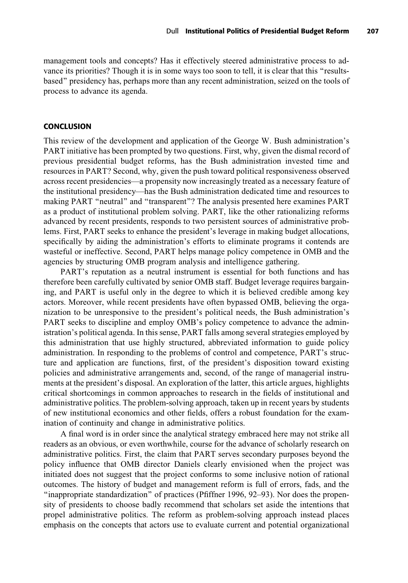management tools and concepts? Has it effectively steered administrative process to advance its priorities? Though it is in some ways too soon to tell, it is clear that this ''resultsbased'' presidency has, perhaps more than any recent administration, seized on the tools of process to advance its agenda.

#### **CONCLUSION**

This review of the development and application of the George W. Bush administration's PART initiative has been prompted by two questions. First, why, given the dismal record of previous presidential budget reforms, has the Bush administration invested time and resources in PART? Second, why, given the push toward political responsiveness observed across recent presidencies—a propensity now increasingly treated as a necessary feature of the institutional presidency—has the Bush administration dedicated time and resources to making PART ''neutral'' and ''transparent''? The analysis presented here examines PART as a product of institutional problem solving. PART, like the other rationalizing reforms advanced by recent presidents, responds to two persistent sources of administrative problems. First, PART seeks to enhance the president's leverage in making budget allocations, specifically by aiding the administration's efforts to eliminate programs it contends are wasteful or ineffective. Second, PART helps manage policy competence in OMB and the agencies by structuring OMB program analysis and intelligence gathering.

PART's reputation as a neutral instrument is essential for both functions and has therefore been carefully cultivated by senior OMB staff. Budget leverage requires bargaining, and PART is useful only in the degree to which it is believed credible among key actors. Moreover, while recent presidents have often bypassed OMB, believing the organization to be unresponsive to the president's political needs, the Bush administration's PART seeks to discipline and employ OMB's policy competence to advance the administration's political agenda. In this sense, PART falls among several strategies employed by this administration that use highly structured, abbreviated information to guide policy administration. In responding to the problems of control and competence, PART's structure and application are functions, first, of the president's disposition toward existing policies and administrative arrangements and, second, of the range of managerial instruments at the president's disposal. An exploration of the latter, this article argues, highlights critical shortcomings in common approaches to research in the fields of institutional and administrative politics. The problem-solving approach, taken up in recent years by students of new institutional economics and other fields, offers a robust foundation for the examination of continuity and change in administrative politics.

A final word is in order since the analytical strategy embraced here may not strike all readers as an obvious, or even worthwhile, course for the advance of scholarly research on administrative politics. First, the claim that PART serves secondary purposes beyond the policy influence that OMB director Daniels clearly envisioned when the project was initiated does not suggest that the project conforms to some inclusive notion of rational outcomes. The history of budget and management reform is full of errors, fads, and the ''inappropriate standardization'' of practices (Pfiffner 1996, 92–93). Nor does the propensity of presidents to choose badly recommend that scholars set aside the intentions that propel administrative politics. The reform as problem-solving approach instead places emphasis on the concepts that actors use to evaluate current and potential organizational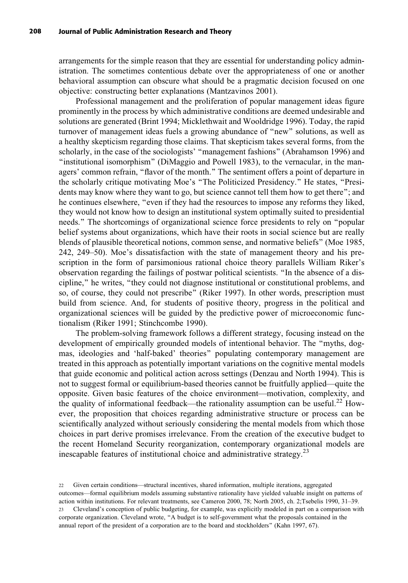arrangements for the simple reason that they are essential for understanding policy administration. The sometimes contentious debate over the appropriateness of one or another behavioral assumption can obscure what should be a pragmatic decision focused on one objective: constructing better explanations (Mantzavinos 2001).

Professional management and the proliferation of popular management ideas figure prominently in the process by which administrative conditions are deemed undesirable and solutions are generated (Brint 1994; Micklethwait and Wooldridge 1996). Today, the rapid turnover of management ideas fuels a growing abundance of ''new'' solutions, as well as a healthy skepticism regarding those claims. That skepticism takes several forms, from the scholarly, in the case of the sociologists' ''management fashions'' (Abrahamson 1996) and ''institutional isomorphism'' (DiMaggio and Powell 1983), to the vernacular, in the managers' common refrain, "flavor of the month." The sentiment offers a point of departure in the scholarly critique motivating Moe's "The Politicized Presidency." He states, "Presidents may know where they want to go, but science cannot tell them how to get there''; and he continues elsewhere, ''even if they had the resources to impose any reforms they liked, they would not know how to design an institutional system optimally suited to presidential needs.'' The shortcomings of organizational science force presidents to rely on ''popular belief systems about organizations, which have their roots in social science but are really blends of plausible theoretical notions, common sense, and normative beliefs'' (Moe 1985, 242, 249–50). Moe's dissatisfaction with the state of management theory and his prescription in the form of parsimonious rational choice theory parallels William Riker's observation regarding the failings of postwar political scientists. ''In the absence of a discipline,'' he writes, ''they could not diagnose institutional or constitutional problems, and so, of course, they could not prescribe'' (Riker 1997). In other words, prescription must build from science. And, for students of positive theory, progress in the political and organizational sciences will be guided by the predictive power of microeconomic functionalism (Riker 1991; Stinchcombe 1990).

The problem-solving framework follows a different strategy, focusing instead on the development of empirically grounded models of intentional behavior. The ''myths, dogmas, ideologies and 'half-baked' theories'' populating contemporary management are treated in this approach as potentially important variations on the cognitive mental models that guide economic and political action across settings (Denzau and North 1994). This is not to suggest formal or equilibrium-based theories cannot be fruitfully applied—quite the opposite. Given basic features of the choice environment—motivation, complexity, and the quality of informational feedback—the rationality assumption can be useful.<sup>22</sup> However, the proposition that choices regarding administrative structure or process can be scientifically analyzed without seriously considering the mental models from which those choices in part derive promises irrelevance. From the creation of the executive budget to the recent Homeland Security reorganization, contemporary organizational models are inescapable features of institutional choice and administrative strategy. $^{23}$ 

<sup>22</sup> Given certain conditions—structural incentives, shared information, multiple iterations, aggregated outcomes—formal equilibrium models assuming substantive rationality have yielded valuable insight on patterns of action within institutions. For relevant treatments, see Cameron 2000, 78; North 2005, ch. 2;Tsebelis 1990, 31–39. 23 Cleveland's conception of public budgeting, for example, was explicitly modeled in part on a comparison with corporate organization. Cleveland wrote, ''A budget is to self-government what the proposals contained in the annual report of the president of a corporation are to the board and stockholders'' (Kahn 1997, 67).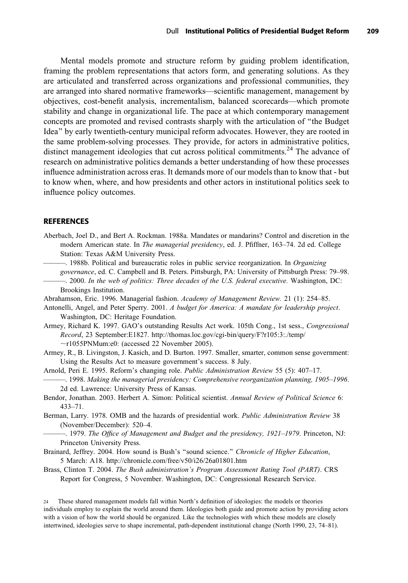Mental models promote and structure reform by guiding problem identification, framing the problem representations that actors form, and generating solutions. As they are articulated and transferred across organizations and professional communities, they are arranged into shared normative frameworks—scientific management, management by objectives, cost-benefit analysis, incrementalism, balanced scorecards—which promote stability and change in organizational life. The pace at which contemporary management concepts are promoted and revised contrasts sharply with the articulation of ''the Budget Idea'' by early twentieth-century municipal reform advocates. However, they are rooted in the same problem-solving processes. They provide, for actors in administrative politics, distinct management ideologies that cut across political commitments.<sup>24</sup> The advance of research on administrative politics demands a better understanding of how these processes influence administration across eras. It demands more of our models than to know that - but to know when, where, and how presidents and other actors in institutional politics seek to influence policy outcomes.

#### REFERENCES

- Aberbach, Joel D., and Bert A. Rockman. 1988a. Mandates or mandarins? Control and discretion in the modern American state. In *The managerial presidency*, ed. J. Pfiffner, 163-74. 2d ed. College Station: Texas A&M University Press.
- ———. 1988b. Political and bureaucratic roles in public service reorganization. In Organizing governance, ed. C. Campbell and B. Peters. Pittsburgh, PA: University of Pittsburgh Press: 79–98.
- ———. 2000. In the web of politics: Three decades of the U.S. federal executive. Washington, DC: Brookings Institution.
- Abrahamson, Eric. 1996. Managerial fashion. Academy of Management Review. 21 (1): 254–85.
- Antonelli, Angel, and Peter Sperry. 2001. A budget for America: A mandate for leadership project. Washington, DC: Heritage Foundation.

Armey, Richard K. 1997. GAO's outstanding Results Act work. 105th Cong., 1st sess., Congressional Record, 23 September:E1827[. http://thomas.loc.gov/cgi-bin/query/F?r105:3:./temp/](http://thomas.loc.gov/cgi-bin/query/F?r105:3:./temp/~r1055PNMum:e0:)  $\sim$ [r1055PNMum:e0:](http://thomas.loc.gov/cgi-bin/query/F?r105:3:./temp/~r1055PNMum:e0:) (accessed 22 November 2005).

- Armey, R., B. Livingston, J. Kasich, and D. Burton. 1997. Smaller, smarter, common sense government: Using the Results Act to measure government's success. 8 July.
- Arnold, Peri E. 1995. Reform's changing role. Public Administration Review 55 (5): 407-17.
- ———. 1998. Making the managerial presidency: Comprehensive reorganization planning, 1905–1996. 2d ed. Lawrence: University Press of Kansas.
- Bendor, Jonathan. 2003. Herbert A. Simon: Political scientist. Annual Review of Political Science 6: 433–71.
- Berman, Larry. 1978. OMB and the hazards of presidential work. Public Administration Review 38 (November/December): 520–4.
	- -. 1979. The Office of Management and Budget and the presidency, 1921–1979. Princeton, NJ: Princeton University Press.
- Brainard, Jeffrey. 2004. How sound is Bush's "sound science." Chronicle of Higher Education, 5 March: A18.<http://chronicle.com/free/v50/i26/26a01801.htm>
- Brass, Clinton T. 2004. The Bush administration's Program Assessment Rating Tool (PART). CRS Report for Congress, 5 November. Washington, DC: Congressional Research Service.

24 These shared management models fall within North's definition of ideologies: the models or theories individuals employ to explain the world around them. Ideologies both guide and promote action by providing actors with a vision of how the world should be organized. Like the technologies with which these models are closely intertwined, ideologies serve to shape incremental, path-dependent institutional change (North 1990, 23, 74–81).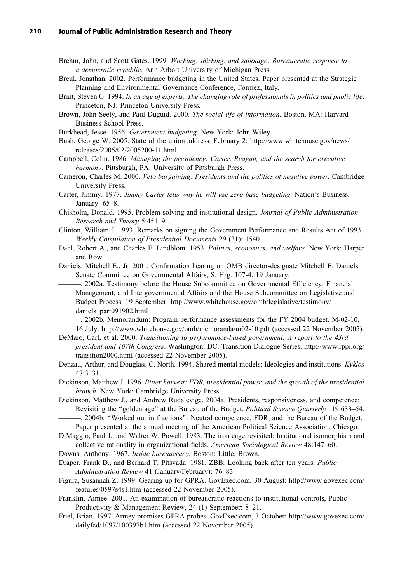#### 210 Journal of Public Administration Research and Theory

- Brehm, John, and Scott Gates. 1999. Working, shirking, and sabotage: Bureaucratic response to a democratic republic. Ann Arbor: University of Michigan Press.
- Breul, Jonathan. 2002. Performance budgeting in the United States. Paper presented at the Strategic Planning and Environmental Governance Conference, Formez, Italy.
- Brint, Steven G. 1994. In an age of experts: The changing role of professionals in politics and public life. Princeton, NJ: Princeton University Press.
- Brown, John Seely, and Paul Duguid. 2000. The social life of information. Boston, MA: Harvard Business School Press.
- Burkhead, Jesse. 1956. Government budgeting. New York: John Wiley.
- Bush, George W. 2005. State of the union address. February 2: [http://www.whitehouse.gov/news/](http://www.whitehouse.gov/news/releases/2005/02/2005200-11.html) [releases/2005/02/2005200-11.html](http://www.whitehouse.gov/news/releases/2005/02/2005200-11.html)
- Campbell, Colin. 1986. Managing the presidency: Carter, Reagan, and the search for executive harmony. Pittsburgh, PA: University of Pittsburgh Press.
- Cameron, Charles M. 2000. Veto bargaining: Presidents and the politics of negative power. Cambridge University Press.
- Carter, Jimmy. 1977. Jimmy Carter tells why he will use zero-base budgeting. Nation's Business. January: 65–8.
- Chisholm, Donald. 1995. Problem solving and institutional design. Journal of Public Administration Research and Theory 5:451–91.
- Clinton, William J. 1993. Remarks on signing the Government Performance and Results Act of 1993. Weekly Compilation of Presidential Documents 29 (31): 1540.
- Dahl, Robert A., and Charles E. Lindblom. 1953. Politics, economics, and welfare. New York: Harper and Row.
- Daniels, Mitchell E., Jr. 2001. Confirmation hearing on OMB director-designate Mitchell E. Daniels. Senate Committee on Governmental Affairs, S. Hrg. 107-4, 19 January.
	- ———. 2002a. Testimony before the House Subcommittee on Governmental Efficiency, Financial Management, and Intergovernmental Affairs and the House Subcommittee on Legislative and Budget Process, 19 September: [http://www.whitehouse.gov/omb/legislative/testimony/](http://www.whitehouse.gov/omb/legislative/testimony/daniels_part091902.html) [daniels\\_part091902.html](http://www.whitehouse.gov/omb/legislative/testimony/daniels_part091902.html)
	- ———. 2002b. Memorandum: Program performance assessments for the FY 2004 budget. M-02-10, 16 July.<http://www.whitehouse.gov/omb/memoranda/m02-10.pdf> (accessed 22 November 2005).
- DeMaio, Carl, et al. 2000. Transitioning to performance-based government: A report to the 43rd president and 107th Congress. Washington, DC: Transition Dialogue Series. [http://www.rppi.org/](http://www.rppi.org/transition2000.html) [transition2000.html](http://www.rppi.org/transition2000.html) (accessed 22 November 2005).
- Denzau, Arthur, and Douglass C. North. 1994. Shared mental models: Ideologies and institutions. Kyklos 47:3–31.
- Dickinson, Matthew J. 1996. Bitter harvest: FDR, presidential power, and the growth of the presidential branch. New York: Cambridge University Press.
- Dickinson, Matthew J., and Andrew Rudalevige. 2004a. Presidents, responsiveness, and competence: Revisiting the "golden age" at the Bureau of the Budget. Political Science Quarterly 119:633–54. ———. 2004b. ''Worked out in fractions'': Neutral competence, FDR, and the Bureau of the Budget.
	- Paper presented at the annual meeting of the American Political Science Association, Chicago.
- DiMaggio, Paul J., and Walter W. Powell. 1983. The iron cage revisited: Institutional isomorphism and collective rationality in organizational fields. American Sociological Review 48:147–60.
- Downs, Anthony. 1967. Inside bureaucracy. Boston: Little, Brown.
- Draper, Frank D., and Berhard T. Pitsvada. 1981. ZBB: Looking back after ten years. Public Administration Review 41 (January/February): 76–83.
- Figura, Susannah Z. 1999. Gearing up for GPRA. GovExec.com, 30 August[: http://www.govexec.com/](http://www.govexec.com/features/0597s4s1.htm) [features/0597s4s1.htm \(](http://www.govexec.com/features/0597s4s1.htm)accessed 22 November 2005).
- Franklin, Aimee. 2001. An examination of bureaucratic reactions to institutional controls, Public Productivity & Management Review, 24 (1) September: 8–21.
- Friel, Brian. 1997. Armey promises GPRA probes. GovExec.com, 3 October: [http://www.govexec.com/](http://www.govexec.com/dailyfed/1097/100397b1.htm) [dailyfed/1097/100397b1.htm \(](http://www.govexec.com/dailyfed/1097/100397b1.htm)accessed 22 November 2005).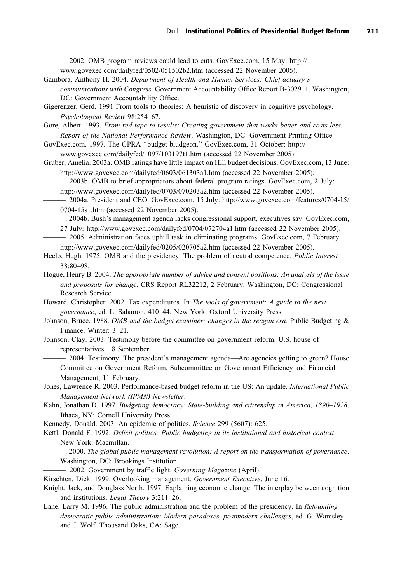———. 2002. OMB program reviews could lead to cuts. GovExec.com, 15 May: [http://](http://www.govexec.com/dailyfed/0502/051502b2.htm) [www.govexec.com/dailyfed/0502/051502b2.htm \(](http://www.govexec.com/dailyfed/1097/100397b1.htm)accessed 22 November 2005). Gambora, Anthony H. 2004. Department of Health and Human Services: Chief actuary's communications with Congress. Government Accountability Office Report B-302911. Washington, DC: Government Accountability Office. Gigerenzer, Gerd. 1991 From tools to theories: A heuristic of discovery in cognitive psychology. Psychological Review 98:254–67. Gore, Albert. 1993. From red tape to results: Creating government that works better and costs less. Report of the National Performance Review. Washington, DC: Government Printing Office. GovExec.com. 1997. The GPRA ''budget bludgeon.'' GovExec.com, 31 October: [http://](http://www.govexec.com/dailyfed/1097/103197t1.htm) [www.govexec.com/dailyfed/1097/103197t1.htm](http://www.govexec.com/dailyfed/1097/103197t1.htm) (accessed 22 November 2005). Gruber, Amelia. 2003a. OMB ratings have little impact on Hill budget decisions. GovExec.com, 13 June: <http://www.govexec.com/dailyfed/0603/061303a1.htm> (accessed 22 November 2005). ———. 2003b. OMB to brief appropriators about federal program ratings. GovExec.com, 2 July:

<http://www.govexec.com/dailyfed/0703/070203a2.htm> (accessed 22 November 2005). ———. 2004a. President and CEO. GovExec.com, 15 July: [http://www.govexec.com/features/0704-15/](http://www.govexec.com/features/0704-15/http://www.govexec.com/features/0704-15/0704-15s1.htm) [0704-15s1.htm](http://www.govexec.com/features/0704-15/http://www.govexec.com/features/0704-15/0704-15s1.htm) (accessed 22 November 2005).

———. 2004b. Bush's management agenda lacks congressional support, executives say. GovExec.com, 27 July:<http://www.govexec.com/dailyfed/0704/072704a1.htm> (accessed 22 November 2005).

———. 2005. Administration faces uphill task in eliminating programs. GovExec.com, 7 February: <http://www.govexec.com/dailyfed/0205/020705a2.htm> (accessed 22 November 2005).

Heclo, Hugh. 1975. OMB and the presidency: The problem of neutral competence. Public Interest 38:80–98.

Hogue, Henry B. 2004. The appropriate number of advice and consent positions: An analysis of the issue and proposals for change. CRS Report RL32212, 2 February. Washington, DC: Congressional Research Service.

Howard, Christopher. 2002. Tax expenditures. In *The tools of government: A guide to the new* governance, ed. L. Salamon, 410–44. New York: Oxford University Press.

Johnson, Bruce. 1988. OMB and the budget examiner: changes in the reagan era. Public Budgeting & Finance. Winter: 3–21.

Johnson, Clay. 2003. Testimony before the committee on government reform. U.S. house of representatives. 18 September.

———. 2004. Testimony: The president's management agenda—Are agencies getting to green? House Committee on Government Reform, Subcommittee on Government Efficiency and Financial Management, 11 February.

Jones, Lawrence R. 2003. Performance-based budget reform in the US: An update. *International Public* Management Network (IPMN) Newsletter.

Kahn, Jonathan D. 1997. Budgeting democracy: State-building and citizenship in America, 1890–1928. Ithaca, NY: Cornell University Press.

Kennedy, Donald. 2003. An epidemic of politics. Science 299 (5607): 625.

Kettl, Donald F. 1992. Deficit politics: Public budgeting in its institutional and historical context. New York: Macmillan.

———. 2000. The global public management revolution: A report on the transformation of governance. Washington, DC: Brookings Institution.

- 2002. Government by traffic light. Governing Magazine (April).

Kirschten, Dick. 1999. Overlooking management. Government Executive, June:16.

Knight, Jack, and Douglass North. 1997. Explaining economic change: The interplay between cognition and institutions. Legal Theory 3:211–26.

Lane, Larry M. 1996. The public administration and the problem of the presidency. In Refounding democratic public administration: Modern paradoxes, postmodern challenges, ed. G. Wamsley and J. Wolf. Thousand Oaks, CA: Sage.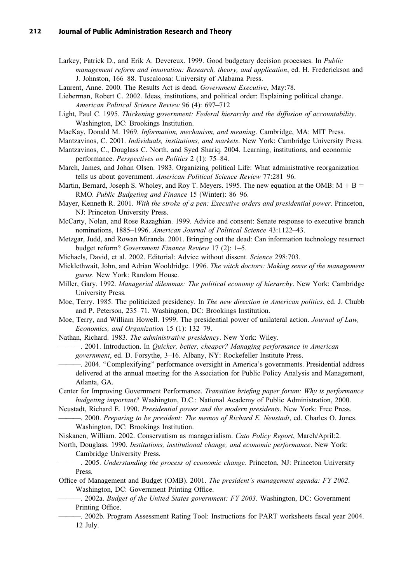Larkey, Patrick D., and Erik A. Devereux. 1999. Good budgetary decision processes. In Public management reform and innovation: Research, theory, and application, ed. H. Frederickson and J. Johnston, 166–88. Tuscaloosa: University of Alabama Press.

Laurent, Anne. 2000. The Results Act is dead. Government Executive, May:78.

- Lieberman, Robert C. 2002. Ideas, institutions, and political order: Explaining political change. American Political Science Review 96 (4): 697–712
- Light, Paul C. 1995. Thickening government: Federal hierarchy and the diffusion of accountability. Washington, DC: Brookings Institution.
- MacKay, Donald M. 1969. Information, mechanism, and meaning. Cambridge, MA: MIT Press.
- Mantzavinos, C. 2001. Individuals, institutions, and markets. New York: Cambridge University Press.
- Mantzavinos, C., Douglass C. North, and Syed Shariq. 2004. Learning, institutions, and economic performance. Perspectives on Politics 2 (1): 75–84.
- March, James, and Johan Olsen. 1983. Organizing political Life: What administrative reorganization tells us about government. American Political Science Review 77:281–96.
- Martin, Bernard, Joseph S. Wholey, and Roy T. Meyers. 1995. The new equation at the OMB:  $M + B =$ RMO. Public Budgeting and Finance 15 (Winter): 86–96.

Mayer, Kenneth R. 2001. With the stroke of a pen: Executive orders and presidential power. Princeton, NJ: Princeton University Press.

- McCarty, Nolan, and Rose Razaghian. 1999. Advice and consent: Senate response to executive branch nominations, 1885–1996. American Journal of Political Science 43:1122–43.
- Metzgar, Judd, and Rowan Miranda. 2001. Bringing out the dead: Can information technology resurrect budget reform? Government Finance Review 17 (2): 1–5.
- Michaels, David, et al. 2002. Editorial: Advice without dissent. Science 298:703.
- Micklethwait, John, and Adrian Wooldridge. 1996. The witch doctors: Making sense of the management gurus. New York: Random House.
- Miller, Gary. 1992. Managerial dilemmas: The political economy of hierarchy. New York: Cambridge University Press.
- Moe, Terry. 1985. The politicized presidency. In The new direction in American politics, ed. J. Chubb and P. Peterson, 235–71. Washington, DC: Brookings Institution.
- Moe, Terry, and William Howell. 1999. The presidential power of unilateral action. Journal of Law, Economics, and Organization 15 (1): 132–79.
- Nathan, Richard. 1983. The administrative presidency. New York: Wiley.

———. 2001. Introduction. In Quicker, better, cheaper? Managing performance in American government, ed. D. Forsythe, 3–16. Albany, NY: Rockefeller Institute Press.

———. 2004. ''Complexifying'' performance oversight in America's governments. Presidential address delivered at the annual meeting for the Association for Public Policy Analysis and Management, Atlanta, GA.

Center for Improving Government Performance. Transition briefing paper forum: Why is performance budgeting important? Washington, D.C.: National Academy of Public Administration, 2000.

Neustadt, Richard E. 1990. Presidential power and the modern presidents. New York: Free Press.

-. 2000. Preparing to be president: The memos of Richard E. Neustadt, ed. Charles O. Jones. Washington, DC: Brookings Institution.

Niskanen, William. 2002. Conservatism as managerialism. Cato Policy Report, March/April:2.

North, Douglass. 1990. Institutions, institutional change, and economic performance. New York: Cambridge University Press.

- -. 2005. Understanding the process of economic change. Princeton, NJ: Princeton University Press.
- Office of Management and Budget (OMB). 2001. The president's management agenda: FY 2002. Washington, DC: Government Printing Office.
- -. 2002a. Budget of the United States government: FY 2003. Washington, DC: Government Printing Office.
	- ———. 2002b. Program Assessment Rating Tool: Instructions for PART worksheets fiscal year 2004. 12 July.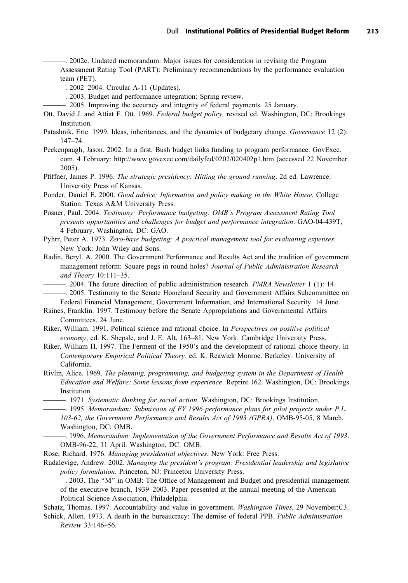- ———. 2002c. Undated memorandum: Major issues for consideration in revising the Program Assessment Rating Tool (PART): Preliminary recommendations by the performance evaluation team (PET).
- ———. 2002–2004. Circular A-11 (Updates).
- ———. 2003. Budget and performance integration: Spring review.
- ———. 2005. Improving the accuracy and integrity of federal payments. 25 January.
- Ott, David J. and Attiat F. Ott. 1969. Federal budget policy, revised ed. Washington, DC: Brookings Institution.
- Patashnik, Eric. 1999. Ideas, inheritances, and the dynamics of budgetary change. Governance 12 (2): 147–74.
- Peckenpaugh, Jason. 2002. In a first, Bush budget links funding to program performance. GovExec. com, 4 February:<http://www.govexec.com/dailyfed/0202/020402p1.htm> (accessed 22 November 2005).
- Pfiffner, James P. 1996. The strategic presidency: Hitting the ground running. 2d ed. Lawrence: University Press of Kansas.
- Ponder, Daniel E. 2000. Good advice: Information and policy making in the White House. College Station: Texas A&M University Press.
- Posner, Paul. 2004. Testimony: Performance budgeting: OMB's Program Assessment Rating Tool presents opportunities and challenges for budget and performance integration. GAO-04-439T, 4 February. Washington, DC: GAO.
- Pyhrr, Peter A. 1973. Zero-base budgeting: A practical management tool for evaluating expenses. New York: John Wiley and Sons.
- Radin, Beryl. A. 2000. The Government Performance and Results Act and the tradition of government management reform: Square pegs in round holes? Journal of Public Administration Research and Theory 10:111–35.

2004. The future direction of public administration research. *PMRA Newsletter* 1 (1): 14.

———. 2005. Testimony to the Senate Homeland Security and Government Affairs Subcommittee on Federal Financial Management, Government Information, and International Security. 14 June.

- Raines, Franklin. 1997. Testimony before the Senate Appropriations and Governmental Affairs Committees. 24 June.
- Riker, William. 1991. Political science and rational choice. In Perspectives on positive political economy, ed. K. Shepsle, and J. E. Alt, 163–81. New York: Cambridge University Press.
- Riker, William H. 1997. The Ferment of the 1950's and the development of rational choice theory. In Contemporary Empirical Political Theory, ed. K. Reawick Monroe. Berkeley: University of California.
- Rivlin, Alice. 1969. The planning, programming, and budgeting system in the Department of Health Education and Welfare: Some lessons from experience. Reprint 162. Washington, DC: Brookings Institution.
- —. 1971. Systematic thinking for social action. Washington, DC: Brookings Institution.
- ———. 1995. Memorandum: Submission of FY 1996 performance plans for pilot projects under P.L. 103-62, the Government Performance and Results Act of 1993 (GPRA). OMB-95-05, 8 March. Washington, DC: OMB.
	- ———. 1996. Memorandum: Implementation of the Government Performance and Results Act of 1993. OMB-96-22, 11 April. Washington, DC: OMB.
- Rose, Richard. 1976. Managing presidential objectives. New York: Free Press.
- Rudalevige, Andrew. 2002. Managing the president's program: Presidential leadership and legislative policy formulation. Princeton, NJ: Princeton University Press.
	- ———. 2003. The ''M'' in OMB: The Office of Management and Budget and presidential management of the executive branch, 1939–2003. Paper presented at the annual meeting of the American Political Science Association, Philadelphia.

Schatz, Thomas. 1997. Accountability and value in government. *Washington Times*, 29 November: C3.

Schick, Allen. 1973. A death in the bureaucracy: The demise of federal PPB. Public Administration Review 33:146–56.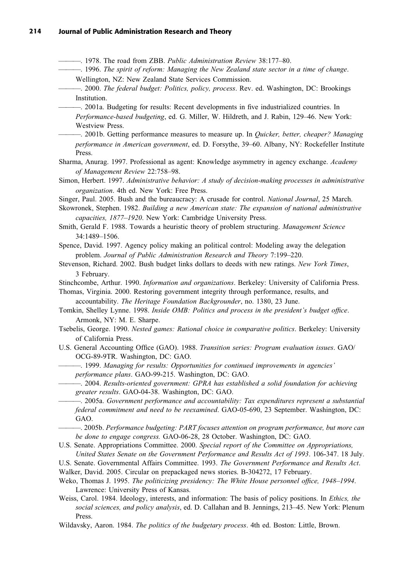#### 214 Journal of Public Administration Research and Theory

- 1978. The road from ZBB. Public Administration Review 38:177-80.

———. 1996. The spirit of reform: Managing the New Zealand state sector in a time of change. Wellington, NZ: New Zealand State Services Commission.

- **-------** 2000. The federal budget: Politics, policy, process. Rev. ed. Washington, DC: Brookings Institution.
	- ———. 2001a. Budgeting for results: Recent developments in five industrialized countries. In

Performance-based budgeting, ed. G. Miller, W. Hildreth, and J. Rabin, 129–46. New York: Westview Press.

- —. 2001b. Getting performance measures to measure up. In Quicker, better, cheaper? Managing performance in American government, ed. D. Forsythe, 39–60. Albany, NY: Rockefeller Institute Press.
- Sharma, Anurag. 1997. Professional as agent: Knowledge asymmetry in agency exchange. Academy of Management Review 22:758–98.
- Simon, Herbert. 1997. Administrative behavior: A study of decision-making processes in administrative organization. 4th ed. New York: Free Press.
- Singer, Paul. 2005. Bush and the bureaucracy: A crusade for control. National Journal, 25 March.
- Skowronek, Stephen. 1982. Building a new American state: The expansion of national administrative capacities, 1877–1920. New York: Cambridge University Press.
- Smith, Gerald F. 1988. Towards a heuristic theory of problem structuring. Management Science 34:1489–1506.
- Spence, David. 1997. Agency policy making an political control: Modeling away the delegation problem. Journal of Public Administration Research and Theory 7:199–220.
- Stevenson, Richard. 2002. Bush budget links dollars to deeds with new ratings. New York Times, 3 February.
- Stinchcombe, Arthur. 1990. Information and organizations. Berkeley: University of California Press.
- Thomas, Virginia. 2000. Restoring government integrity through performance, results, and
	- accountability. The Heritage Foundation Backgrounder, no. 1380, 23 June.
- Tomkin, Shelley Lynne. 1998. Inside OMB: Politics and process in the president's budget office. Armonk, NY: M. E. Sharpe.
- Tsebelis, George. 1990. Nested games: Rational choice in comparative politics. Berkeley: University of California Press.
- U.S. General Accounting Office (GAO). 1988. Transition series: Program evaluation issues. GAO/ OCG-89-9TR. Washington, DC: GAO.
- $-$ . 1999. Managing for results: Opportunities for continued improvements in agencies' performance plans. GAO-99-215. Washington, DC: GAO.
	- ———. 2004. Results-oriented government: GPRA has established a solid foundation for achieving greater results. GAO-04-38. Washington, DC: GAO.
- ———. 2005a. Government performance and accountability: Tax expenditures represent a substantial federal commitment and need to be reexamined. GAO-05-690, 23 September. Washington, DC: GAO.
- ———. 2005b. Performance budgeting: PART focuses attention on program performance, but more can be done to engage congress. GAO-06-28, 28 October. Washington, DC: GAO.
- U.S. Senate. Appropriations Committee. 2000. Special report of the Committee on Appropriations, United States Senate on the Government Performance and Results Act of 1993. 106-347. 18 July.
- U.S. Senate. Governmental Affairs Committee. 1993. The Government Performance and Results Act. Walker, David. 2005. Circular on prepackaged news stories. B-304272, 17 February.
- Weko, Thomas J. 1995. The politicizing presidency: The White House personnel office, 1948–1994. Lawrence: University Press of Kansas.
- Weiss, Carol. 1984. Ideology, interests, and information: The basis of policy positions. In Ethics, the social sciences, and policy analysis, ed. D. Callahan and B. Jennings, 213–45. New York: Plenum Press.
- Wildavsky, Aaron. 1984. The politics of the budgetary process. 4th ed. Boston: Little, Brown.